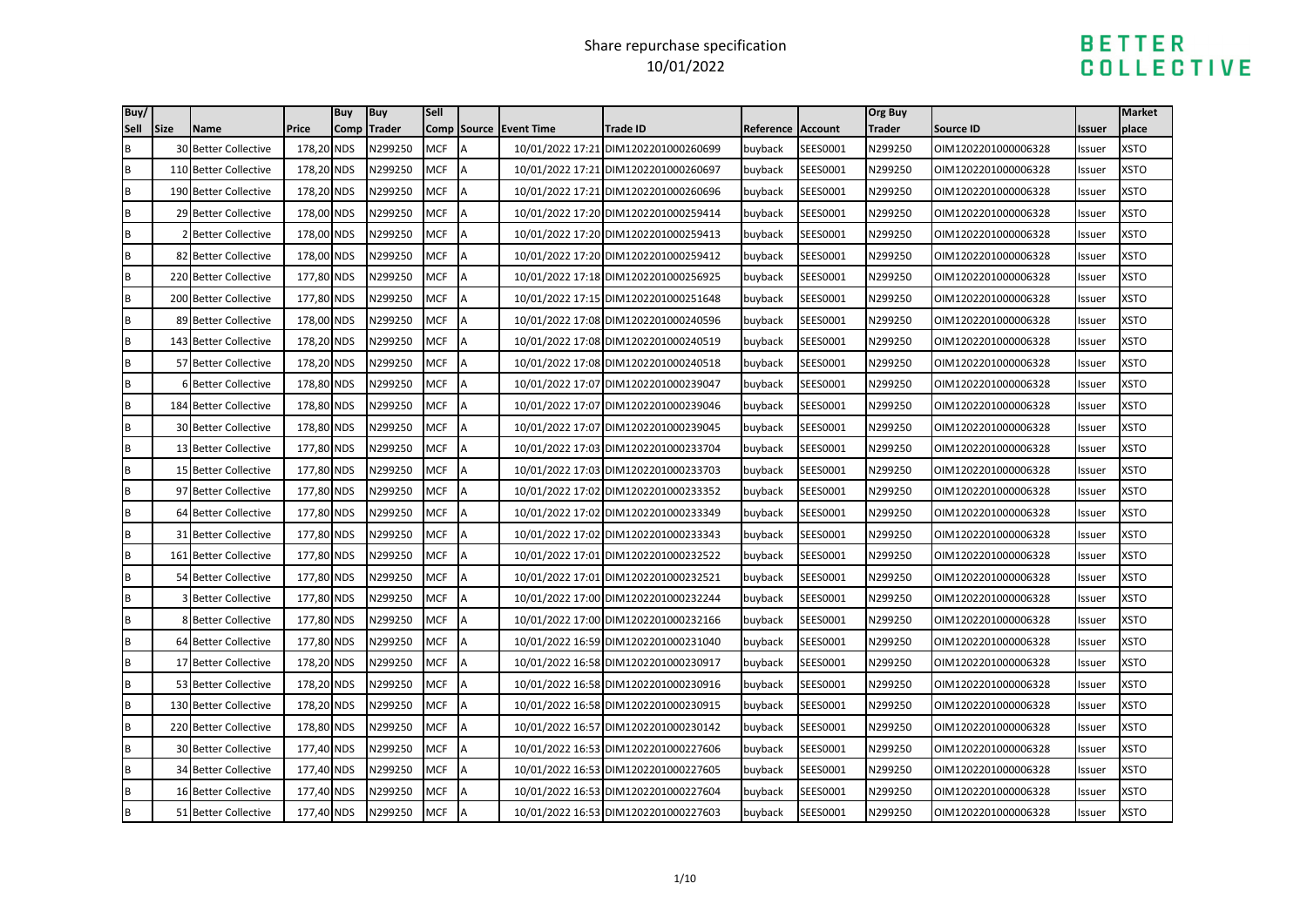| Buy/          | Size | <b>Name</b>                 | <b>Price</b> | <b>Buy</b><br>Comp | <b>Buy</b><br><b>Trader</b> | <b>Sell</b> |        | Comp Source Event Time |                                      |                   |          | Org Buy<br>Trader |                                         |        | Market<br>place |
|---------------|------|-----------------------------|--------------|--------------------|-----------------------------|-------------|--------|------------------------|--------------------------------------|-------------------|----------|-------------------|-----------------------------------------|--------|-----------------|
| Sell          |      |                             |              |                    |                             | <b>MCF</b>  |        |                        | <b>Trade ID</b>                      | Reference Account |          |                   | <b>Source ID</b><br>OIM1202201000006328 | Issuer |                 |
| $\sf{B}$<br>B |      | 30 Better Collective        | 178,20 NDS   |                    | N299250                     |             | A<br>A |                        | 10/01/2022 17:21 DIM1202201000260699 | buyback           | SEES0001 | N299250           |                                         | Issuer | XSTO            |
|               |      | 110 Better Collective       | 178,20 NDS   |                    | N299250                     | <b>MCF</b>  |        |                        | 10/01/2022 17:21 DIM1202201000260697 | buyback           | SEES0001 | N299250           | OIM1202201000006328                     | Issuer | <b>XSTO</b>     |
| B             |      | 190 Better Collective       | 178,20 NDS   |                    | N299250                     | <b>MCF</b>  | A      |                        | 10/01/2022 17:21 DIM1202201000260696 | buyback           | SEES0001 | N299250           | OIM1202201000006328                     | Issuer | <b>XSTO</b>     |
| B             |      | 29 Better Collective        | 178,00 NDS   |                    | N299250                     | <b>MCF</b>  | A      |                        | 10/01/2022 17:20 DIM1202201000259414 | buyback           | SEES0001 | N299250           | OIM1202201000006328                     | Issuer | <b>XSTO</b>     |
| B             |      | 2 Better Collective         | 178,00 NDS   |                    | N299250                     | <b>MCF</b>  |        |                        | 10/01/2022 17:20 DIM1202201000259413 | buyback           | SEES0001 | N299250           | OIM1202201000006328                     | Issuer | <b>XSTO</b>     |
| B             |      | 82 Better Collective        | 178,00 NDS   |                    | N299250                     | <b>MCF</b>  |        |                        | 10/01/2022 17:20 DIM1202201000259412 | buyback           | SEES0001 | N299250           | OIM1202201000006328                     | Issuer | <b>XSTO</b>     |
| B             |      | 220 Better Collective       | 177,80 NDS   |                    | N299250                     | <b>MCF</b>  | A      |                        | 10/01/2022 17:18 DIM1202201000256925 | buyback           | SEES0001 | N299250           | OIM1202201000006328                     | Issuer | <b>XSTO</b>     |
| B             |      | 200 Better Collective       | 177,80 NDS   |                    | N299250                     | <b>MCF</b>  | A      |                        | 10/01/2022 17:15 DIM1202201000251648 | buyback           | SEES0001 | N299250           | OIM1202201000006328                     | Issuer | <b>XSTO</b>     |
| B             |      | 89 Better Collective        | 178,00 NDS   |                    | N299250                     | <b>MCF</b>  |        |                        | 10/01/2022 17:08 DIM1202201000240596 | buyback           | SEES0001 | N299250           | OIM1202201000006328                     | Issuer | <b>XSTO</b>     |
| B             |      | 143 Better Collective       | 178,20 NDS   |                    | N299250                     | <b>MCF</b>  | A      |                        | 10/01/2022 17:08 DIM1202201000240519 | buyback           | SEES0001 | N299250           | OIM1202201000006328                     | Issuer | <b>XSTO</b>     |
| B             |      | 57 Better Collective        | 178,20 NDS   |                    | N299250                     | <b>MCF</b>  | A      |                        | 10/01/2022 17:08 DIM1202201000240518 | buyback           | SEES0001 | N299250           | OIM1202201000006328                     | Issuer | <b>XSTO</b>     |
| B             |      | 6 Better Collective         | 178,80 NDS   |                    | N299250                     | <b>MCF</b>  | A      |                        | 10/01/2022 17:07 DIM1202201000239047 | buyback           | SEES0001 | N299250           | OIM1202201000006328                     | Issuer | <b>XSTO</b>     |
| B             |      | 184 Better Collective       | 178,80 NDS   |                    | N299250                     | <b>MCF</b>  |        |                        | 10/01/2022 17:07 DIM1202201000239046 | buyback           | SEES0001 | N299250           | OIM1202201000006328                     | Issuer | <b>XSTO</b>     |
| B             |      | 30 Better Collective        | 178,80 NDS   |                    | N299250                     | <b>MCF</b>  | A      |                        | 10/01/2022 17:07 DIM1202201000239045 | buyback           | SEES0001 | N299250           | OIM1202201000006328                     | Issuer | <b>XSTO</b>     |
| B             |      | 13 Better Collective        | 177,80 NDS   |                    | N299250                     | <b>MCF</b>  |        |                        | 10/01/2022 17:03 DIM1202201000233704 | buyback           | SEES0001 | N299250           | OIM1202201000006328                     | Issuer | <b>XSTO</b>     |
| B             |      | 15 Better Collective        | 177,80 NDS   |                    | N299250                     | <b>MCF</b>  | A      |                        | 10/01/2022 17:03 DIM1202201000233703 | buyback           | SEES0001 | N299250           | OIM1202201000006328                     | Issuer | <b>XSTO</b>     |
| B             |      | 97 Better Collective        | 177,80 NDS   |                    | N299250                     | <b>MCF</b>  |        |                        | 10/01/2022 17:02 DIM1202201000233352 | buyback           | SEES0001 | N299250           | OIM1202201000006328                     | Issuer | <b>XSTO</b>     |
| B             |      | 64 Better Collective        | 177,80 NDS   |                    | N299250                     | <b>MCF</b>  | A      |                        | 10/01/2022 17:02 DIM1202201000233349 | buyback           | SEES0001 | N299250           | OIM1202201000006328                     | Issuer | <b>XSTO</b>     |
| B             |      | 31 Better Collective        | 177,80 NDS   |                    | N299250                     | <b>MCF</b>  | A      |                        | 10/01/2022 17:02 DIM1202201000233343 | buyback           | SEES0001 | N299250           | OIM1202201000006328                     | Issuer | <b>XSTO</b>     |
| B             |      | 161 Better Collective       | 177,80 NDS   |                    | N299250                     | <b>MCF</b>  | A      |                        | 10/01/2022 17:01 DIM1202201000232522 | buyback           | SEES0001 | N299250           | OIM1202201000006328                     | Issuer | <b>XSTO</b>     |
| B             |      | 54 Better Collective        | 177,80 NDS   |                    | N299250                     | <b>MCF</b>  | A      |                        | 10/01/2022 17:01 DIM1202201000232521 | buyback           | SEES0001 | N299250           | OIM1202201000006328                     | Issuer | <b>XSTO</b>     |
| B             |      | <b>3 Better Collective</b>  | 177,80 NDS   |                    | N299250                     | <b>MCF</b>  | A      |                        | 10/01/2022 17:00 DIM1202201000232244 | buyback           | SEES0001 | N299250           | OIM1202201000006328                     | Issuer | <b>XSTO</b>     |
| B             |      | 8 Better Collective         | 177,80 NDS   |                    | N299250                     | <b>MCF</b>  | A      |                        | 10/01/2022 17:00 DIM1202201000232166 | buyback           | SEES0001 | N299250           | OIM1202201000006328                     | Issuer | <b>XSTO</b>     |
| B             |      | 64 Better Collective        | 177,80 NDS   |                    | N299250                     | <b>MCF</b>  | A      |                        | 10/01/2022 16:59 DIM1202201000231040 | buyback           | SEES0001 | N299250           | OIM1202201000006328                     | Issuer | <b>XSTO</b>     |
| B             |      | 17 Better Collective        | 178,20 NDS   |                    | N299250                     | <b>MCF</b>  | A      |                        | 10/01/2022 16:58 DIM1202201000230917 | buyback           | SEES0001 | N299250           | OIM1202201000006328                     | lssuer | <b>XSTO</b>     |
| B             |      | 53 Better Collective        | 178,20 NDS   |                    | N299250                     | <b>MCF</b>  |        |                        | 10/01/2022 16:58 DIM1202201000230916 | buyback           | SEES0001 | N299250           | OIM1202201000006328                     | Issuer | <b>XSTO</b>     |
| B             |      | 130 Better Collective       | 178,20 NDS   |                    | N299250                     | <b>MCF</b>  | A      |                        | 10/01/2022 16:58 DIM1202201000230915 | buyback           | SEES0001 | N299250           | OIM1202201000006328                     | Issuer | <b>XSTO</b>     |
| B             |      | 220 Better Collective       | 178,80 NDS   |                    | N299250                     | <b>MCF</b>  |        |                        | 10/01/2022 16:57 DIM1202201000230142 | buyback           | SEES0001 | N299250           | OIM1202201000006328                     | Issuer | <b>XSTO</b>     |
| B             |      | <b>30 Better Collective</b> | 177,40 NDS   |                    | N299250                     | <b>MCF</b>  | A      |                        | 10/01/2022 16:53 DIM1202201000227606 | buyback           | SEES0001 | N299250           | OIM1202201000006328                     | Issuer | <b>XSTO</b>     |
| B             |      | 34 Better Collective        | 177,40 NDS   |                    | N299250                     | <b>MCF</b>  |        |                        | 10/01/2022 16:53 DIM1202201000227605 | buyback           | SEES0001 | N299250           | OIM1202201000006328                     | Issuer | <b>XSTO</b>     |
| B             |      | 16 Better Collective        | 177,40 NDS   |                    | N299250                     | <b>MCF</b>  | A      |                        | 10/01/2022 16:53 DIM1202201000227604 | buyback           | SEES0001 | N299250           | OIM1202201000006328                     | Issuer | <b>XSTO</b>     |
| B             |      | 51 Better Collective        | 177,40 NDS   |                    | N299250                     | <b>MCF</b>  | A      |                        | 10/01/2022 16:53 DIM1202201000227603 | buyback           | SEES0001 | N299250           | OIM1202201000006328                     | Issuer | <b>XSTO</b>     |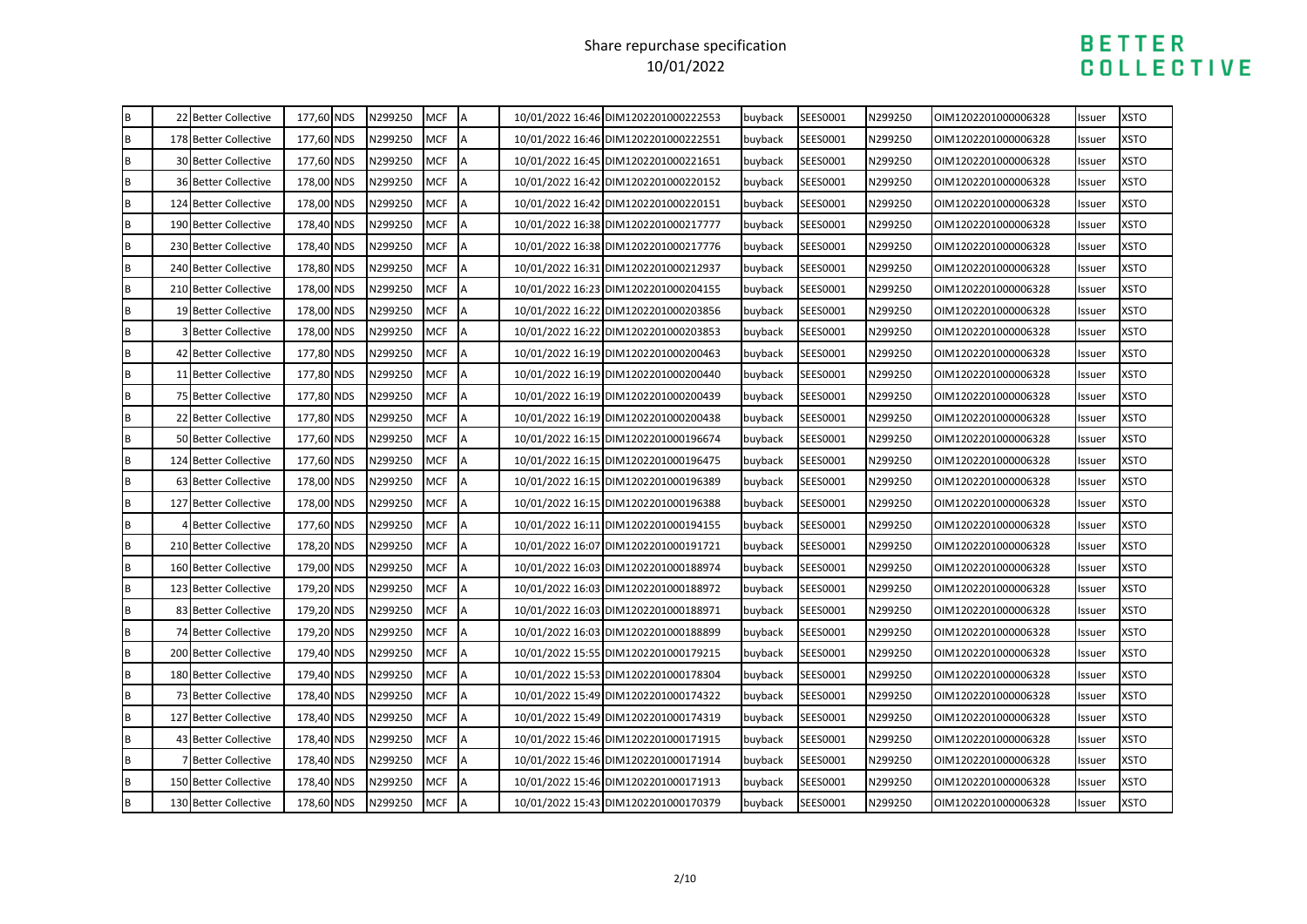| B            | 22 Better Collective        | 177,60 NDS | N299250 | MCF        | <b>IA</b> | 10/01/2022 16:46 DIM1202201000222553 | buyback | SEES0001 | N299250 | OIM1202201000006328 | Issuer | <b>XSTO</b> |
|--------------|-----------------------------|------------|---------|------------|-----------|--------------------------------------|---------|----------|---------|---------------------|--------|-------------|
| B            | 178 Better Collective       | 177,60 NDS | N299250 | <b>MCF</b> | A         | 10/01/2022 16:46 DIM1202201000222551 | buyback | SEES0001 | N299250 | OIM1202201000006328 | Issuer | <b>XSTO</b> |
| $\sf{B}$     | <b>30 Better Collective</b> | 177,60 NDS | N299250 | <b>MCF</b> | A         | 10/01/2022 16:45 DIM1202201000221651 | buyback | SEES0001 | N299250 | OIM1202201000006328 | Issuer | <b>XSTO</b> |
| B            | 36 Better Collective        | 178,00 NDS | N299250 | <b>MCF</b> | A         | 10/01/2022 16:42 DIM1202201000220152 | buyback | SEES0001 | N299250 | OIM1202201000006328 | ssuer  | <b>XSTO</b> |
| $\sf{B}$     | 124 Better Collective       | 178,00 NDS | N299250 | <b>MCF</b> |           | 10/01/2022 16:42 DIM1202201000220151 | buyback | SEES0001 | N299250 | OIM1202201000006328 | Issuer | <b>XSTO</b> |
| $\sf{B}$     | 190 Better Collective       | 178,40 NDS | N299250 | <b>MCF</b> | A         | 10/01/2022 16:38 DIM1202201000217777 | buyback | SEES0001 | N299250 | OIM1202201000006328 | Issuer | <b>XSTO</b> |
| $\, {\bf B}$ | 230 Better Collective       | 178,40 NDS | N299250 | <b>MCF</b> | A         | 10/01/2022 16:38 DIM1202201000217776 | buyback | SEES0001 | N299250 | OIM1202201000006328 | Issuer | <b>XSTO</b> |
| $\, {\bf B}$ | 240 Better Collective       | 178,80 NDS | N299250 | <b>MCF</b> | A         | 10/01/2022 16:31 DIM1202201000212937 | buyback | SEES0001 | N299250 | OIM1202201000006328 | Issuer | <b>XSTO</b> |
| $\sf{B}$     | 210 Better Collective       | 178,00 NDS | N299250 | <b>MCF</b> | A         | 10/01/2022 16:23 DIM1202201000204155 | buyback | SEES0001 | N299250 | OIM1202201000006328 | Issuer | <b>XSTO</b> |
| B            | 19 Better Collective        | 178,00 NDS | N299250 | <b>MCF</b> | A         | 10/01/2022 16:22 DIM1202201000203856 | buyback | SEES0001 | N299250 | OIM1202201000006328 | Issuer | <b>XSTO</b> |
| $\sf{B}$     | <b>3 Better Collective</b>  | 178,00 NDS | N299250 | <b>MCF</b> | A         | 10/01/2022 16:22 DIM1202201000203853 | buyback | SEES0001 | N299250 | OIM1202201000006328 | Issuer | <b>XSTO</b> |
| B            | 42 Better Collective        | 177,80 NDS | N299250 | <b>MCF</b> |           | 10/01/2022 16:19 DIM1202201000200463 | buyback | SEES0001 | N299250 | OIM1202201000006328 | Issuer | <b>XSTO</b> |
| $\, {\bf B}$ | 11 Better Collective        | 177,80 NDS | N299250 | <b>MCF</b> | A         | 10/01/2022 16:19 DIM1202201000200440 | buyback | SEES0001 | N299250 | OIM1202201000006328 | Issuer | <b>XSTO</b> |
| B            | 75 Better Collective        | 177,80 NDS | N299250 | <b>MCF</b> |           | 10/01/2022 16:19 DIM1202201000200439 | buyback | SEES0001 | N299250 | OIM1202201000006328 | Issuer | <b>XSTO</b> |
| B            | 22 Better Collective        | 177,80 NDS | N299250 | <b>MCF</b> | A         | 10/01/2022 16:19 DIM1202201000200438 | buyback | SEES0001 | N299250 | OIM1202201000006328 | Issuer | <b>XSTO</b> |
| B            | 50 Better Collective        | 177,60 NDS | N299250 | <b>MCF</b> |           | 10/01/2022 16:15 DIM1202201000196674 | buyback | SEES0001 | N299250 | OIM1202201000006328 | Issuer | <b>XSTO</b> |
| $\, {\bf B}$ | 124 Better Collective       | 177,60 NDS | N299250 | <b>MCF</b> | <b>IA</b> | 10/01/2022 16:15 DIM1202201000196475 | buyback | SEES0001 | N299250 | OIM1202201000006328 | Issuer | <b>XSTO</b> |
| $\sf{B}$     | 63 Better Collective        | 178,00 NDS | N299250 | <b>MCF</b> |           | 10/01/2022 16:15 DIM1202201000196389 | buyback | SEES0001 | N299250 | OIM1202201000006328 | Issuer | <b>XSTO</b> |
| B            | 127 Better Collective       | 178,00 NDS | N299250 | <b>MCF</b> | IA        | 10/01/2022 16:15 DIM1202201000196388 | buyback | SEES0001 | N299250 | OIM1202201000006328 | Issuer | <b>XSTO</b> |
| $\sf{B}$     | <b>Better Collective</b>    | 177,60 NDS | N299250 | <b>MCF</b> |           | 10/01/2022 16:11 DIM1202201000194155 | buyback | SEES0001 | N299250 | OIM1202201000006328 | Issuer | <b>XSTO</b> |
| B            | 210 Better Collective       | 178,20 NDS | N299250 | <b>MCF</b> |           | 10/01/2022 16:07 DIM1202201000191721 | buyback | SEES0001 | N299250 | OIM1202201000006328 | ssuer  | <b>XSTO</b> |
| $\, {\bf B}$ | 160 Better Collective       | 179,00 NDS | N299250 | <b>MCF</b> |           | 10/01/2022 16:03 DIM1202201000188974 | buyback | SEES0001 | N299250 | OIM1202201000006328 | Issuer | <b>XSTO</b> |
| B            | 123 Better Collective       | 179,20 NDS | N299250 | <b>MCF</b> | <b>IA</b> | 10/01/2022 16:03 DIM1202201000188972 | buyback | SEES0001 | N299250 | OIM1202201000006328 | lssuer | <b>XSTO</b> |
| B            | 83 Better Collective        | 179,20 NDS | N299250 | <b>MCF</b> |           | 10/01/2022 16:03 DIM1202201000188971 | buyback | SEES0001 | N299250 | OIM1202201000006328 | Issuer | <b>XSTO</b> |
| $\sf{B}$     | 74 Better Collective        | 179,20 NDS | N299250 | <b>MCF</b> |           | 10/01/2022 16:03 DIM1202201000188899 | buyback | SEES0001 | N299250 | OIM1202201000006328 | Issuer | <b>XSTO</b> |
| B            | 200 Better Collective       | 179,40 NDS | N299250 | <b>MCF</b> | A         | 10/01/2022 15:55 DIM1202201000179215 | buyback | SEES0001 | N299250 | OIM1202201000006328 | Issuer | <b>XSTO</b> |
| B            | 180 Better Collective       | 179,40 NDS | N299250 | <b>MCF</b> |           | 10/01/2022 15:53 DIM1202201000178304 | buyback | SEES0001 | N299250 | OIM1202201000006328 | Issuer | <b>XSTO</b> |
| $\, {\bf B}$ | 73 Better Collective        | 178,40 NDS | N299250 | <b>MCF</b> | A         | 10/01/2022 15:49 DIM1202201000174322 | buyback | SEES0001 | N299250 | OIM1202201000006328 | Issuer | <b>XSTO</b> |
| $\, {\bf B}$ | 127 Better Collective       | 178,40 NDS | N299250 | <b>MCF</b> | A         | 10/01/2022 15:49 DIM1202201000174319 | buyback | SEES0001 | N299250 | OIM1202201000006328 | Issuer | <b>XSTO</b> |
| B            | 43 Better Collective        | 178,40 NDS | N299250 | <b>MCF</b> | IА.       | 10/01/2022 15:46 DIM1202201000171915 | buyback | SEES0001 | N299250 | OIM1202201000006328 | Issuer | <b>XSTO</b> |
| B            | 7 Better Collective         | 178,40 NDS | N299250 | <b>MCF</b> |           | 10/01/2022 15:46 DIM1202201000171914 | buyback | SEES0001 | N299250 | OIM1202201000006328 | Issuer | <b>XSTO</b> |
| $\, {\bf B}$ | 150 Better Collective       | 178,40 NDS | N299250 | <b>MCF</b> | A         | 10/01/2022 15:46 DIM1202201000171913 | buyback | SEES0001 | N299250 | OIM1202201000006328 | Issuer | <b>XSTO</b> |
| B            | 130 Better Collective       | 178,60 NDS | N299250 | <b>MCF</b> | A         | 10/01/2022 15:43 DIM1202201000170379 | buyback | SEES0001 | N299250 | OIM1202201000006328 | Issuer | <b>XSTO</b> |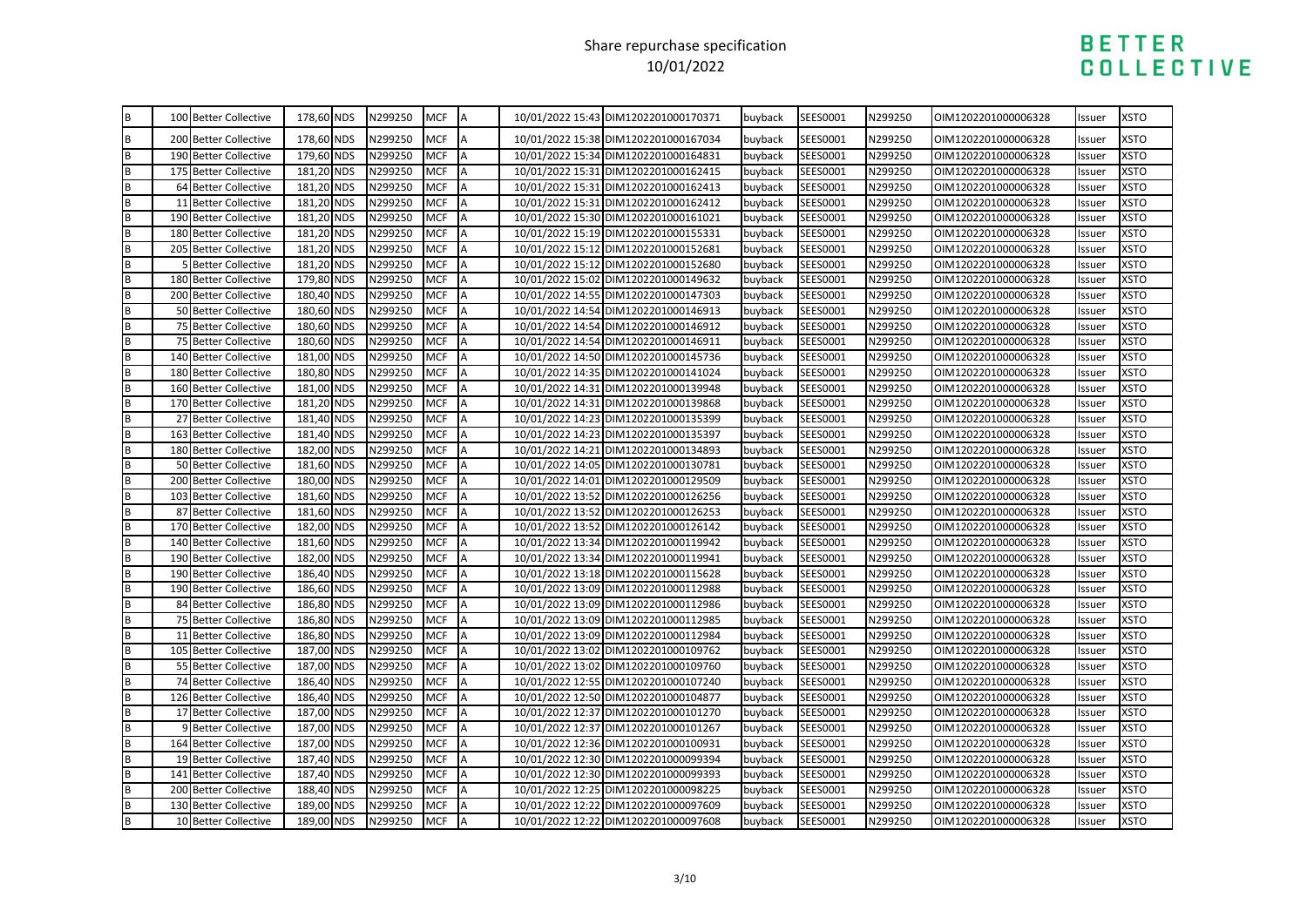| $\sf{B}$                                 | 100 Better Collective | 178,60 NDS | N299250 | <b>MCF</b> | <b>IA</b> | 10/01/2022 15:43 DIM1202201000170371 | buyback | SEES0001 | N299250 | OIM1202201000006328 | Issuer | <b>XSTO</b> |
|------------------------------------------|-----------------------|------------|---------|------------|-----------|--------------------------------------|---------|----------|---------|---------------------|--------|-------------|
| B                                        | 200 Better Collective | 178,60 NDS | N299250 | <b>MCF</b> |           | 10/01/2022 15:38 DIM1202201000167034 | buyback | SEES0001 | N299250 | OIM1202201000006328 | Issuer | <b>XSTO</b> |
|                                          | 190 Better Collective | 179,60 NDS | N299250 | <b>MCF</b> | A         | 10/01/2022 15:34 DIM1202201000164831 | buyback | SEES0001 | N299250 | OIM1202201000006328 | Issuer | <b>XSTO</b> |
|                                          | 175 Better Collective | 181,20 NDS | N299250 | <b>MCF</b> | A         | 10/01/2022 15:31 DIM1202201000162415 | buyback | SEES0001 | N299250 | OIM1202201000006328 | Issuer | <b>XSTO</b> |
|                                          | 64 Better Collective  | 181,20 NDS | N299250 | <b>MCF</b> |           | 10/01/2022 15:31 DIM1202201000162413 | buyback | SEES0001 | N299250 | OIM1202201000006328 | Issuer | <b>XSTO</b> |
|                                          | 11 Better Collective  | 181,20 NDS | N299250 | <b>MCF</b> | A         | 10/01/2022 15:31 DIM1202201000162412 | buyback | SEES0001 | N299250 | OIM1202201000006328 | Issuer | <b>XSTO</b> |
|                                          | 190 Better Collective | 181,20 NDS | N299250 | <b>MCF</b> | A         | 10/01/2022 15:30 DIM1202201000161021 | buyback | SEES0001 | N299250 | OIM1202201000006328 | Issuer | <b>XSTO</b> |
|                                          | 180 Better Collective | 181,20 NDS | N299250 | <b>MCF</b> | A         | 10/01/2022 15:19 DIM1202201000155331 | buyback | SEES0001 | N299250 | OIM1202201000006328 | Issuer | <b>XSTO</b> |
|                                          | 205 Better Collective | 181,20 NDS | N299250 | <b>MCF</b> | A         | 10/01/2022 15:12 DIM1202201000152681 | buyback | SEES0001 | N299250 | OIM1202201000006328 | Issuer | <b>XSTO</b> |
|                                          | 5 Better Collective   | 181,20 NDS | N299250 | <b>MCF</b> | A         | 10/01/2022 15:12 DIM1202201000152680 | buyback | SEES0001 | N299250 | OIM1202201000006328 | Issuer | <b>XSTO</b> |
|                                          | 180 Better Collective | 179,80 NDS | N299250 | <b>MCF</b> | A         | 10/01/2022 15:02 DIM1202201000149632 | buyback | SEES0001 | N299250 | OIM1202201000006328 | Issuer | <b>XSTO</b> |
|                                          | 200 Better Collective | 180,40 NDS | N299250 | <b>MCF</b> | A         | 10/01/2022 14:55 DIM1202201000147303 | buyback | SEES0001 | N299250 | OIM1202201000006328 | Issuer | <b>XSTO</b> |
|                                          | 50 Better Collective  | 180,60 NDS | N299250 | <b>MCF</b> | A         | 10/01/2022 14:54 DIM1202201000146913 | buyback | SEES0001 | N299250 | OIM1202201000006328 | Issuer | <b>XSTO</b> |
|                                          | 75 Better Collective  | 180,60 NDS | N299250 | <b>MCF</b> | A         | 10/01/2022 14:54 DIM1202201000146912 | buyback | SEES0001 | N299250 | OIM1202201000006328 | Issuer | <b>XSTO</b> |
|                                          | 75 Better Collective  | 180,60 NDS | N299250 | <b>MCF</b> |           | 10/01/2022 14:54 DIM1202201000146911 | buyback | SEES0001 | N299250 | OIM1202201000006328 | Issuer | <b>XSTO</b> |
|                                          | 140 Better Collective | 181,00 NDS | N299250 | <b>MCF</b> | <b>A</b>  | 10/01/2022 14:50 DIM1202201000145736 | buyback | SEES0001 | N299250 | OIM1202201000006328 | Issuer | <b>XSTO</b> |
|                                          | 180 Better Collective | 180,80 NDS | N299250 | <b>MCF</b> | A         | 10/01/2022 14:35 DIM1202201000141024 | buyback | SEES0001 | N299250 | OIM1202201000006328 | Issuer | <b>XSTO</b> |
|                                          | 160 Better Collective | 181,00 NDS | N299250 | <b>MCF</b> | A         | 10/01/2022 14:31 DIM1202201000139948 | buyback | SEES0001 | N299250 | OIM1202201000006328 | Issuer | <b>XSTO</b> |
|                                          | 170 Better Collective | 181,20 NDS | N299250 | <b>MCF</b> | A         | 10/01/2022 14:31 DIM1202201000139868 | buyback | SEES0001 | N299250 | OIM1202201000006328 | Issuer | <b>XSTO</b> |
|                                          | 27 Better Collective  | 181,40 NDS | N299250 | <b>MCF</b> |           | 10/01/2022 14:23 DIM1202201000135399 | buyback | SEES0001 | N299250 | OIM1202201000006328 | Issuer | <b>XSTO</b> |
|                                          | 163 Better Collective | 181,40 NDS | N299250 | <b>MCF</b> | A         | 10/01/2022 14:23 DIM1202201000135397 | buyback | SEES0001 | N299250 | OIM1202201000006328 | Issuer | <b>XSTO</b> |
|                                          | 180 Better Collective | 182,00 NDS | N299250 | <b>MCF</b> | A         | 10/01/2022 14:21 DIM1202201000134893 | buyback | SEES0001 | N299250 | OIM1202201000006328 | Issuer | <b>XSTO</b> |
|                                          | 50 Better Collective  | 181,60 NDS | N299250 | <b>MCF</b> | A         | 10/01/2022 14:05 DIM1202201000130781 | buyback | SEES0001 | N299250 | OIM1202201000006328 | Issuer | <b>XSTO</b> |
| <b>B</b>   B   B   B   B   B   B   B   B | 200 Better Collective | 180,00 NDS | N299250 | <b>MCF</b> | A         | 10/01/2022 14:01 DIM1202201000129509 | buyback | SEES0001 | N299250 | OIM1202201000006328 | Issuer | <b>XSTO</b> |
|                                          | 103 Better Collective | 181,60 NDS | N299250 | <b>MCF</b> |           | 10/01/2022 13:52 DIM1202201000126256 | buyback | SEES0001 | N299250 | OIM1202201000006328 | Issuer | <b>XSTO</b> |
|                                          | 87 Better Collective  | 181,60 NDS | N299250 | MCF        | A         | 10/01/2022 13:52 DIM1202201000126253 | buyback | SEES0001 | N299250 | OIM1202201000006328 | Issuer | <b>XSTO</b> |
|                                          | 170 Better Collective | 182,00 NDS | N299250 | <b>MCF</b> | A         | 10/01/2022 13:52 DIM1202201000126142 | buyback | SEES0001 | N299250 | OIM1202201000006328 | Issuer | <b>XSTO</b> |
| B                                        | 140 Better Collective | 181,60 NDS | N299250 | <b>MCF</b> | A         | 10/01/2022 13:34 DIM1202201000119942 | buyback | SEES0001 | N299250 | OIM1202201000006328 | Issuer | <b>XSTO</b> |
|                                          | 190 Better Collective | 182,00 NDS | N299250 | <b>MCF</b> | A         | 10/01/2022 13:34 DIM1202201000119941 | buyback | SEES0001 | N299250 | OIM1202201000006328 | Issuer | <b>XSTO</b> |
|                                          | 190 Better Collective | 186,40 NDS | N299250 | <b>MCF</b> |           | 10/01/2022 13:18 DIM1202201000115628 | buyback | SEES0001 | N299250 | OIM1202201000006328 | Issuer | <b>XSTO</b> |
|                                          | 190 Better Collective | 186,60 NDS | N299250 | <b>MCF</b> | A         | 10/01/2022 13:09 DIM1202201000112988 | buyback | SEES0001 | N299250 | OIM1202201000006328 | Issuer | <b>XSTO</b> |
|                                          | 84 Better Collective  | 186,80 NDS | N299250 | <b>MCF</b> | A         | 10/01/2022 13:09 DIM1202201000112986 | buyback | SEES0001 | N299250 | OIM1202201000006328 | Issuer | <b>XSTO</b> |
|                                          | 75 Better Collective  | 186,80 NDS | N299250 | <b>MCF</b> | A         | 10/01/2022 13:09 DIM1202201000112985 | buyback | SEES0001 | N299250 | OIM1202201000006328 | Issuer | <b>XSTO</b> |
|                                          | 11 Better Collective  | 186,80 NDS | N299250 | <b>MCF</b> | A         | 10/01/2022 13:09 DIM1202201000112984 | buyback | SEES0001 | N299250 | OIM1202201000006328 | Issuer | <b>XSTO</b> |
|                                          | 105 Better Collective | 187,00 NDS | N299250 | <b>MCF</b> |           | 10/01/2022 13:02 DIM1202201000109762 | buyback | SEES0001 | N299250 | OIM1202201000006328 | Issuer | <b>XSTO</b> |
|                                          | 55 Better Collective  | 187,00 NDS | N299250 | <b>MCF</b> | A         | 10/01/2022 13:02 DIM1202201000109760 | buyback | SEES0001 | N299250 | OIM1202201000006328 | Issuer | <b>XSTO</b> |
|                                          | 74 Better Collective  | 186,40 NDS | N299250 | <b>MCF</b> | A         | 10/01/2022 12:55 DIM1202201000107240 | buyback | SEES0001 | N299250 | OIM1202201000006328 | Issuer | <b>XSTO</b> |
|                                          | 126 Better Collective | 186,40 NDS | N299250 | <b>MCF</b> | <b>A</b>  | 10/01/2022 12:50 DIM1202201000104877 | buyback | SEES0001 | N299250 | OIM1202201000006328 | Issuer | <b>XSTO</b> |
|                                          | 17 Better Collective  | 187,00 NDS | N299250 | <b>MCF</b> | A         | 10/01/2022 12:37 DIM1202201000101270 | buyback | SEES0001 | N299250 | OIM1202201000006328 | Issuer | <b>XSTO</b> |
|                                          | 9 Better Collective   | 187,00 NDS | N299250 | <b>MCF</b> |           | 10/01/2022 12:37 DIM1202201000101267 | buyback | SEES0001 | N299250 | OIM1202201000006328 | Issuer | <b>XSTO</b> |
|                                          | 164 Better Collective | 187,00 NDS | N299250 | <b>MCF</b> | A         | 10/01/2022 12:36 DIM1202201000100931 | buyback | SEES0001 | N299250 | OIM1202201000006328 | Issuer | <b>XSTO</b> |
|                                          | 19 Better Collective  | 187,40 NDS | N299250 | <b>MCF</b> | A         | 10/01/2022 12:30 DIM1202201000099394 | buyback | SEES0001 | N299250 | OIM1202201000006328 | Issuer | <b>XSTO</b> |
|                                          | 141 Better Collective | 187,40 NDS | N299250 | <b>MCF</b> | A         | 10/01/2022 12:30 DIM1202201000099393 | buyback | SEES0001 | N299250 | OIM1202201000006328 | Issuer | <b>XSTO</b> |
|                                          | 200 Better Collective | 188,40 NDS | N299250 | <b>MCF</b> | A         | 10/01/2022 12:25 DIM1202201000098225 | buyback | SEES0001 | N299250 | OIM1202201000006328 | Issuer | <b>XSTO</b> |
|                                          | 130 Better Collective | 189,00 NDS | N299250 | <b>MCF</b> | A         | 10/01/2022 12:22 DIM1202201000097609 | buyback | SEES0001 | N299250 | OIM1202201000006328 | Issuer | <b>XSTO</b> |
|                                          | 10 Better Collective  | 189,00 NDS | N299250 | <b>MCF</b> | ΙA        | 10/01/2022 12:22 DIM1202201000097608 | buyback | SEES0001 | N299250 | OIM1202201000006328 | Issuer | <b>XSTO</b> |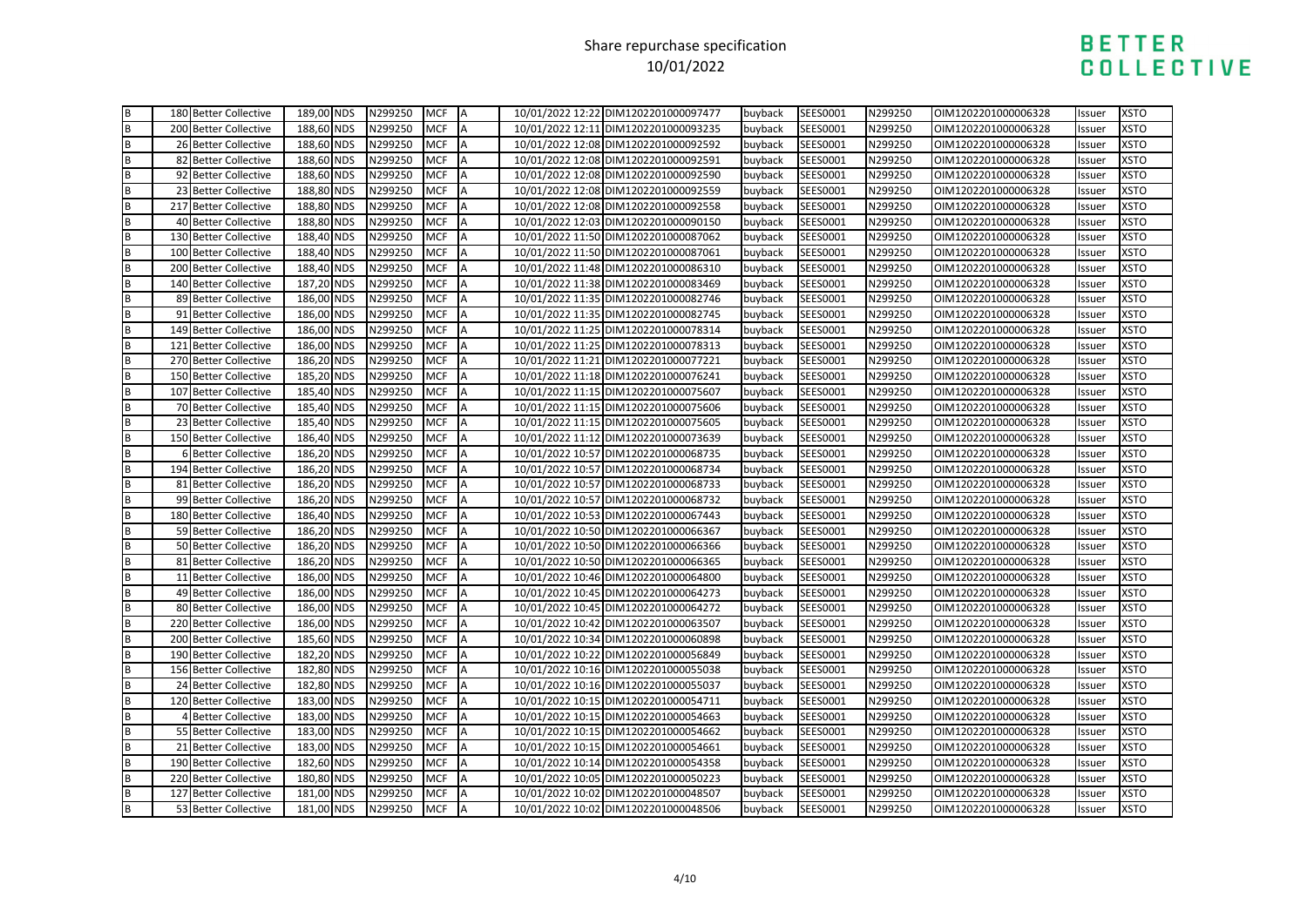|                                      | 180 Better Collective | 189,00 NDS | N299250 | <b>MCF</b> | IA        | 10/01/2022 12:22 DIM1202201000097477 | buyback | SEES0001 | N299250 | OIM1202201000006328 | Issuer | <b>XSTO</b> |
|--------------------------------------|-----------------------|------------|---------|------------|-----------|--------------------------------------|---------|----------|---------|---------------------|--------|-------------|
| m m                                  | 200 Better Collective | 188,60 NDS | N299250 | <b>MCF</b> | A         | 10/01/2022 12:11 DIM1202201000093235 | buyback | SEES0001 | N299250 | OIM1202201000006328 | Issuer | <b>XSTO</b> |
|                                      | 26 Better Collective  | 188,60 NDS | N299250 | <b>MCF</b> | <b>IA</b> | 10/01/2022 12:08 DIM1202201000092592 | buyback | SEES0001 | N299250 | OIM1202201000006328 | Issuer | <b>XSTO</b> |
| <b>a</b>   a   a   a   a   a   a   a | 82 Better Collective  | 188,60 NDS | N299250 | <b>MCF</b> | A         | 10/01/2022 12:08 DIM1202201000092591 | buyback | SEES0001 | N299250 | OIM1202201000006328 | Issuer | <b>XSTO</b> |
|                                      | 92 Better Collective  | 188,60 NDS | N299250 | <b>MCF</b> | A         | 10/01/2022 12:08 DIM1202201000092590 | buyback | SEES0001 | N299250 | OIM1202201000006328 | Issuer | <b>XSTO</b> |
|                                      | 23 Better Collective  | 188,80 NDS | N299250 | <b>MCF</b> | A         | 10/01/2022 12:08 DIM1202201000092559 | buyback | SEES0001 | N299250 | OIM1202201000006328 | Issuer | <b>XSTO</b> |
|                                      | 217 Better Collective | 188,80 NDS | N299250 | <b>MCF</b> | A         | 10/01/2022 12:08 DIM1202201000092558 | buyback | SEES0001 | N299250 | OIM1202201000006328 | Issuer | <b>XSTO</b> |
|                                      | 40 Better Collective  | 188,80 NDS | N299250 | <b>MCF</b> | ΙA        | 10/01/2022 12:03 DIM1202201000090150 | buyback | SEES0001 | N299250 | OIM1202201000006328 | Issuer | <b>XSTO</b> |
|                                      | 130 Better Collective | 188,40 NDS | N299250 | <b>MCF</b> | A         | 10/01/2022 11:50 DIM1202201000087062 | buyback | SEES0001 | N299250 | OIM1202201000006328 | Issuer | <b>XSTO</b> |
|                                      | 100 Better Collective | 188,40 NDS | N299250 | <b>MCF</b> | A         | 10/01/2022 11:50 DIM1202201000087061 | buyback | SEES0001 | N299250 | OIM1202201000006328 | Issuer | <b>XSTO</b> |
|                                      | 200 Better Collective | 188,40 NDS | N299250 | <b>MCF</b> | A         | 10/01/2022 11:48 DIM1202201000086310 | buyback | SEES0001 | N299250 | OIM1202201000006328 | Issuer | <b>XSTO</b> |
| m   m   m                            | 140 Better Collective | 187,20 NDS | N299250 | <b>MCF</b> | A         | 10/01/2022 11:38 DIM1202201000083469 | buyback | SEES0001 | N299250 | OIM1202201000006328 | Issuer | <b>XSTO</b> |
|                                      | 89 Better Collective  | 186,00 NDS | N299250 | <b>MCF</b> |           | 10/01/2022 11:35 DIM1202201000082746 | buyback | SEES0001 | N299250 | OIM1202201000006328 | Issuer | <b>XSTO</b> |
|                                      | 91 Better Collective  | 186,00 NDS | N299250 | <b>MCF</b> | A         | 10/01/2022 11:35 DIM1202201000082745 | buyback | SEES0001 | N299250 | OIM1202201000006328 | Issuer | <b>XSTO</b> |
|                                      | 149 Better Collective | 186,00 NDS | N299250 | <b>MCF</b> | A         | 10/01/2022 11:25 DIM1202201000078314 | buyback | SEES0001 | N299250 | OIM1202201000006328 | Issuer | <b>XSTO</b> |
|                                      | 121 Better Collective | 186,00 NDS | N299250 | <b>MCF</b> | A         | 10/01/2022 11:25 DIM1202201000078313 | buyback | SEES0001 | N299250 | OIM1202201000006328 | Issuer | <b>XSTO</b> |
|                                      | 270 Better Collective | 186,20 NDS | N299250 | <b>MCF</b> | A         | 10/01/2022 11:21 DIM1202201000077221 | buyback | SEES0001 | N299250 | OIM1202201000006328 | Issuer | <b>XSTO</b> |
|                                      | 150 Better Collective | 185,20 NDS | N299250 | <b>MCF</b> | A         | 10/01/2022 11:18 DIM1202201000076241 | buyback | SEES0001 | N299250 | OIM1202201000006328 | Issuer | <b>XSTO</b> |
| <b>B</b> B B B B B B                 | 107 Better Collective | 185,40 NDS | N299250 | <b>MCF</b> | A         | 10/01/2022 11:15 DIM1202201000075607 | buyback | SEES0001 | N299250 | OIM1202201000006328 | Issuer | <b>XSTO</b> |
|                                      | 70 Better Collective  | 185,40 NDS | N299250 | <b>MCF</b> | A         | 10/01/2022 11:15 DIM1202201000075606 | buyback | SEES0001 | N299250 | OIM1202201000006328 | Issuer | <b>XSTO</b> |
|                                      | 23 Better Collective  | 185,40 NDS | N299250 | <b>MCF</b> | A         | 10/01/2022 11:15 DIM1202201000075605 | buyback | SEES0001 | N299250 | OIM1202201000006328 | Issuer | <b>XSTO</b> |
|                                      | 150 Better Collective | 186,40 NDS | N299250 | <b>MCF</b> | A         | 10/01/2022 11:12 DIM1202201000073639 | buyback | SEES0001 | N299250 | OIM1202201000006328 | Issuer | <b>XSTO</b> |
|                                      | 6 Better Collective   | 186,20 NDS | N299250 | <b>MCF</b> | A         | 10/01/2022 10:57 DIM1202201000068735 | buyback | SEES0001 | N299250 | OIM1202201000006328 | Issuer | <b>XSTO</b> |
|                                      | 194 Better Collective | 186,20 NDS | N299250 | <b>MCF</b> | <b>A</b>  | 10/01/2022 10:57 DIM1202201000068734 | buyback | SEES0001 | N299250 | OIM1202201000006328 | Issuer | <b>XSTO</b> |
|                                      | 81 Better Collective  | 186,20 NDS | N299250 | <b>MCF</b> | A         | 10/01/2022 10:57 DIM1202201000068733 | buyback | SEES0001 | N299250 | OIM1202201000006328 | Issuer | <b>XSTO</b> |
| <b>¤  ¤  ∞   ∞   ∞   ∞   ∞   ∞</b>   | 99 Better Collective  | 186,20 NDS | N299250 | <b>MCF</b> | A         | 10/01/2022 10:57 DIM1202201000068732 | buyback | SEES0001 | N299250 | OIM1202201000006328 | Issuer | <b>XSTO</b> |
|                                      | 180 Better Collective | 186,40 NDS | N299250 | <b>MCF</b> | A         | 10/01/2022 10:53 DIM1202201000067443 | buyback | SEES0001 | N299250 | OIM1202201000006328 | Issuer | <b>XSTO</b> |
|                                      | 59 Better Collective  | 186,20 NDS | N299250 | <b>MCF</b> | A         | 10/01/2022 10:50 DIM1202201000066367 | buyback | SEES0001 | N299250 | OIM1202201000006328 | Issuer | <b>XSTO</b> |
|                                      | 50 Better Collective  | 186,20 NDS | N299250 | <b>MCF</b> | A         | 10/01/2022 10:50 DIM1202201000066366 | buyback | SEES0001 | N299250 | OIM1202201000006328 | Issuer | <b>XSTO</b> |
|                                      | 81 Better Collective  | 186,20 NDS | N299250 | <b>MCF</b> | A         | 10/01/2022 10:50 DIM1202201000066365 | buyback | SEES0001 | N299250 | OIM1202201000006328 | Issuer | <b>XSTO</b> |
|                                      | 11 Better Collective  | 186,00 NDS | N299250 | <b>MCF</b> | A         | 10/01/2022 10:46 DIM1202201000064800 | buyback | SEES0001 | N299250 | OIM1202201000006328 | Issuer | <b>XSTO</b> |
|                                      | 49 Better Collective  | 186,00 NDS | N299250 | <b>MCF</b> | <b>A</b>  | 10/01/2022 10:45 DIM1202201000064273 | buyback | SEES0001 | N299250 | OIM1202201000006328 | Issuer | <b>XSTO</b> |
|                                      | 80 Better Collective  | 186,00 NDS | N299250 | <b>MCF</b> | A         | 10/01/2022 10:45 DIM1202201000064272 | buyback | SEES0001 | N299250 | OIM1202201000006328 | Issuer | <b>XSTO</b> |
|                                      | 220 Better Collective | 186,00 NDS | N299250 | <b>MCF</b> | A         | 10/01/2022 10:42 DIM1202201000063507 | buyback | SEES0001 | N299250 | OIM1202201000006328 | Issuer | <b>XSTO</b> |
|                                      | 200 Better Collective | 185,60 NDS | N299250 | <b>MCF</b> | A         | 10/01/2022 10:34 DIM1202201000060898 | buyback | SEES0001 | N299250 | OIM1202201000006328 | Issuer | <b>XSTO</b> |
|                                      | 190 Better Collective | 182,20 NDS | N299250 | <b>MCF</b> | A         | 10/01/2022 10:22 DIM1202201000056849 | buyback | SEES0001 | N299250 | OIM1202201000006328 | Issuer | <b>XSTO</b> |
|                                      | 156 Better Collective | 182,80 NDS | N299250 | <b>MCF</b> | A         | 10/01/2022 10:16 DIM1202201000055038 | buyback | SEES0001 | N299250 | OIM1202201000006328 | Issuer | <b>XSTO</b> |
|                                      | 24 Better Collective  | 182,80 NDS | N299250 | <b>MCF</b> | ΙA        | 10/01/2022 10:16 DIM1202201000055037 | buyback | SEES0001 | N299250 | OIM1202201000006328 | Issuer | <b>XSTO</b> |
|                                      | 120 Better Collective | 183,00 NDS | N299250 | <b>MCF</b> | A         | 10/01/2022 10:15 DIM1202201000054711 | buyback | SEES0001 | N299250 | OIM1202201000006328 | Issuer | <b>XSTO</b> |
|                                      | 4 Better Collective   | 183,00 NDS | N299250 | <b>MCF</b> | <b>A</b>  | 10/01/2022 10:15 DIM1202201000054663 | buyback | SEES0001 | N299250 | OIM1202201000006328 | Issuer | <b>XSTO</b> |
|                                      | 55 Better Collective  | 183,00 NDS | N299250 | <b>MCF</b> | A         | 10/01/2022 10:15 DIM1202201000054662 | buyback | SEES0001 | N299250 | OIM1202201000006328 | Issuer | <b>XSTO</b> |
|                                      | 21 Better Collective  | 183,00 NDS | N299250 | <b>MCF</b> | A         | 10/01/2022 10:15 DIM1202201000054661 | buyback | SEES0001 | N299250 | OIM1202201000006328 | Issuer | <b>XSTO</b> |
|                                      | 190 Better Collective | 182,60 NDS | N299250 | <b>MCF</b> | A         | 10/01/2022 10:14 DIM1202201000054358 | buyback | SEES0001 | N299250 | OIM1202201000006328 | Issuer | <b>XSTO</b> |
|                                      | 220 Better Collective | 180,80 NDS | N299250 | <b>MCF</b> | A         | 10/01/2022 10:05 DIM1202201000050223 | buyback | SEES0001 | N299250 | OIM1202201000006328 | Issuer | <b>XSTO</b> |
|                                      | 127 Better Collective | 181,00 NDS | N299250 | <b>MCF</b> | A         | 10/01/2022 10:02 DIM1202201000048507 | buyback | SEES0001 | N299250 | OIM1202201000006328 | Issuer | <b>XSTO</b> |
|                                      | 53 Better Collective  | 181,00 NDS | N299250 | <b>MCF</b> | IA        | 10/01/2022 10:02 DIM1202201000048506 | buvback | SEES0001 | N299250 | OIM1202201000006328 | Issuer | <b>XSTO</b> |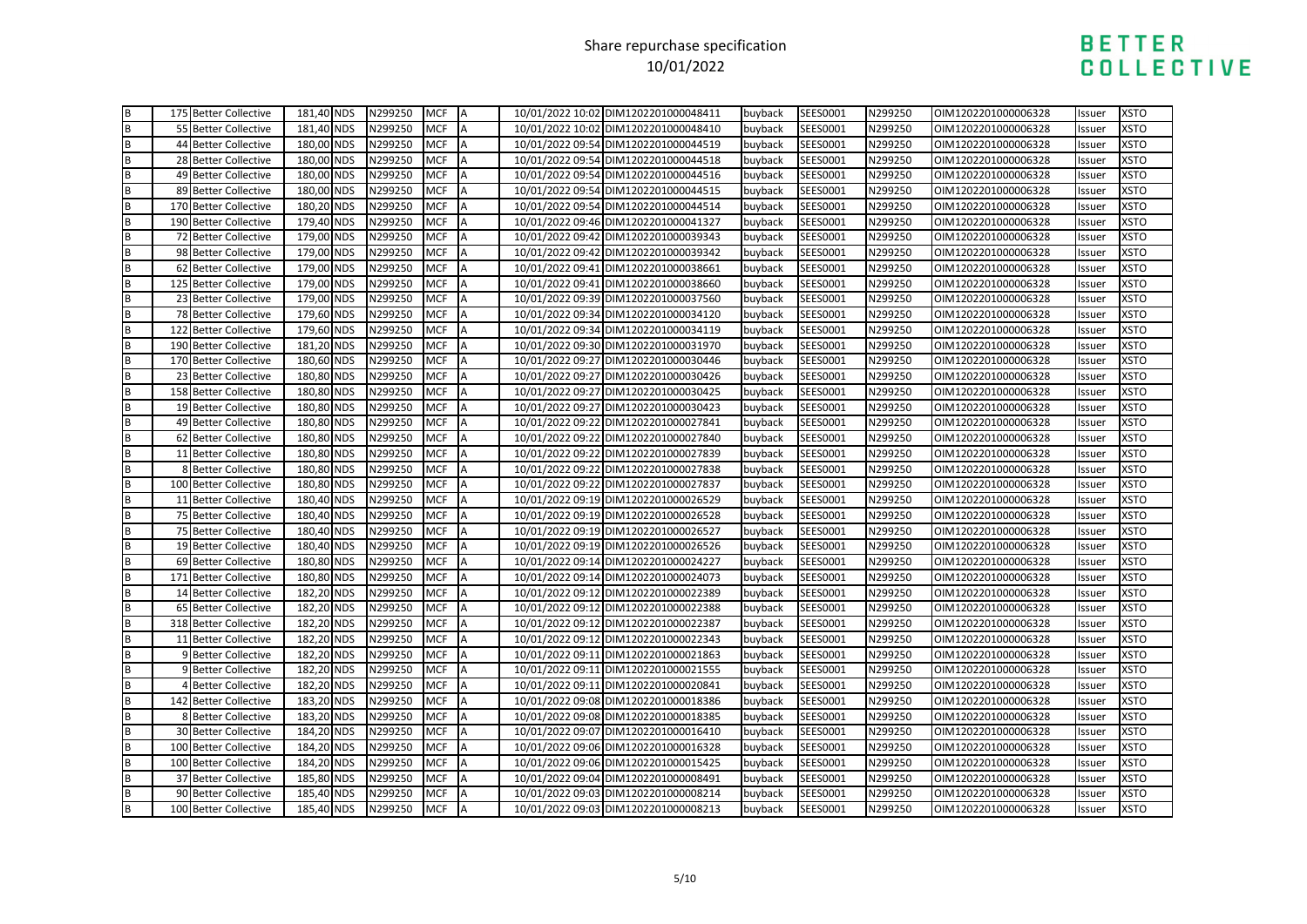|                                       | 175 Better Collective | 181,40 NDS | N299250 | <b>MCF</b> | ΙA        | 10/01/2022 10:02 DIM1202201000048411 | buyback | SEES0001 | N299250 | OIM1202201000006328 | Issuer | <b>XSTO</b> |
|---------------------------------------|-----------------------|------------|---------|------------|-----------|--------------------------------------|---------|----------|---------|---------------------|--------|-------------|
| m a                                   | 55 Better Collective  | 181,40 NDS | N299250 | <b>MCF</b> | A         | 10/01/2022 10:02 DIM1202201000048410 | buyback | SEES0001 | N299250 | OIM1202201000006328 | Issuer | <b>XSTO</b> |
|                                       | 44 Better Collective  | 180,00 NDS | N299250 | <b>MCF</b> | <b>IA</b> | 10/01/2022 09:54 DIM1202201000044519 | buyback | SEES0001 | N299250 | OIM1202201000006328 | Issuer | <b>XSTO</b> |
| m   m   m   m   m   m   m   m   m   m | 28 Better Collective  | 180,00 NDS | N299250 | <b>MCF</b> | A         | 10/01/2022 09:54 DIM1202201000044518 | buyback | SEES0001 | N299250 | OIM1202201000006328 | Issuer | <b>XSTO</b> |
|                                       | 49 Better Collective  | 180,00 NDS | N299250 | <b>MCF</b> | A         | 10/01/2022 09:54 DIM1202201000044516 | buyback | SEES0001 | N299250 | OIM1202201000006328 | Issuer | <b>XSTO</b> |
|                                       | 89 Better Collective  | 180,00 NDS | N299250 | <b>MCF</b> | A         | 10/01/2022 09:54 DIM1202201000044515 | buyback | SEES0001 | N299250 | OIM1202201000006328 | Issuer | <b>XSTO</b> |
|                                       | 170 Better Collective | 180,20 NDS | N299250 | <b>MCF</b> | A         | 10/01/2022 09:54 DIM1202201000044514 | buyback | SEES0001 | N299250 | OIM1202201000006328 | Issuer | <b>XSTO</b> |
|                                       | 190 Better Collective | 179,40 NDS | N299250 | <b>MCF</b> | ΙA        | 10/01/2022 09:46 DIM1202201000041327 | buyback | SEES0001 | N299250 | OIM1202201000006328 | Issuer | <b>XSTO</b> |
|                                       | 72 Better Collective  | 179,00 NDS | N299250 | <b>MCF</b> | A         | 10/01/2022 09:42 DIM1202201000039343 | buyback | SEES0001 | N299250 | OIM1202201000006328 | Issuer | <b>XSTO</b> |
|                                       | 98 Better Collective  | 179,00 NDS | N299250 | <b>MCF</b> | A         | 10/01/2022 09:42 DIM1202201000039342 | buyback | SEES0001 | N299250 | OIM1202201000006328 | Issuer | <b>XSTO</b> |
|                                       | 62 Better Collective  | 179,00 NDS | N299250 | <b>MCF</b> | A         | 10/01/2022 09:41 DIM1202201000038661 | buyback | SEES0001 | N299250 | OIM1202201000006328 | Issuer | <b>XSTO</b> |
|                                       | 125 Better Collective | 179,00 NDS | N299250 | <b>MCF</b> | A         | 10/01/2022 09:41 DIM1202201000038660 | buyback | SEES0001 | N299250 | OIM1202201000006328 | Issuer | <b>XSTO</b> |
|                                       | 23 Better Collective  | 179,00 NDS | N299250 | <b>MCF</b> |           | 10/01/2022 09:39 DIM1202201000037560 | buyback | SEES0001 | N299250 | OIM1202201000006328 | Issuer | <b>XSTO</b> |
|                                       | 78 Better Collective  | 179,60 NDS | N299250 | <b>MCF</b> | A         | 10/01/2022 09:34 DIM1202201000034120 | buyback | SEES0001 | N299250 | OIM1202201000006328 | Issuer | <b>XSTO</b> |
|                                       | 122 Better Collective | 179,60 NDS | N299250 | <b>MCF</b> | A         | 10/01/2022 09:34 DIM1202201000034119 | buyback | SEES0001 | N299250 | OIM1202201000006328 | Issuer | <b>XSTO</b> |
|                                       | 190 Better Collective | 181,20 NDS | N299250 | <b>MCF</b> | A         | 10/01/2022 09:30 DIM1202201000031970 | buyback | SEES0001 | N299250 | OIM1202201000006328 | Issuer | <b>XSTO</b> |
|                                       | 170 Better Collective | 180,60 NDS | N299250 | <b>MCF</b> | A         | 10/01/2022 09:27 DIM1202201000030446 | buyback | SEES0001 | N299250 | OIM1202201000006328 | Issuer | <b>XSTO</b> |
|                                       | 23 Better Collective  | 180,80 NDS | N299250 | <b>MCF</b> | A         | 10/01/2022 09:27 DIM1202201000030426 | buyback | SEES0001 | N299250 | OIM1202201000006328 | Issuer | <b>XSTO</b> |
| <b>B</b> B B B B B B                  | 158 Better Collective | 180,80 NDS | N299250 | <b>MCF</b> | A         | 10/01/2022 09:27 DIM1202201000030425 | buyback | SEES0001 | N299250 | OIM1202201000006328 | Issuer | <b>XSTO</b> |
|                                       | 19 Better Collective  | 180,80 NDS | N299250 | <b>MCF</b> | A         | 10/01/2022 09:27 DIM1202201000030423 | buyback | SEES0001 | N299250 | OIM1202201000006328 | Issuer | <b>XSTO</b> |
|                                       | 49 Better Collective  | 180,80 NDS | N299250 | <b>MCF</b> | A         | 10/01/2022 09:22 DIM1202201000027841 | buyback | SEES0001 | N299250 | OIM1202201000006328 | Issuer | <b>XSTO</b> |
|                                       | 62 Better Collective  | 180,80 NDS | N299250 | <b>MCF</b> | A         | 10/01/2022 09:22 DIM1202201000027840 | buyback | SEES0001 | N299250 | OIM1202201000006328 | Issuer | <b>XSTO</b> |
|                                       | 11 Better Collective  | 180,80 NDS | N299250 | <b>MCF</b> | A         | 10/01/2022 09:22 DIM1202201000027839 | buyback | SEES0001 | N299250 | OIM1202201000006328 | Issuer | <b>XSTO</b> |
|                                       | 8 Better Collective   | 180,80 NDS | N299250 | <b>MCF</b> | <b>A</b>  | 10/01/2022 09:22 DIM1202201000027838 | buyback | SEES0001 | N299250 | OIM1202201000006328 | Issuer | <b>XSTO</b> |
|                                       | 100 Better Collective | 180,80 NDS | N299250 | <b>MCF</b> | A         | 10/01/2022 09:22 DIM1202201000027837 | buyback | SEES0001 | N299250 | OIM1202201000006328 | Issuer | <b>XSTO</b> |
|                                       | 11 Better Collective  | 180,40 NDS | N299250 | <b>MCF</b> | A         | 10/01/2022 09:19 DIM1202201000026529 | buyback | SEES0001 | N299250 | OIM1202201000006328 | Issuer | <b>XSTO</b> |
|                                       | 75 Better Collective  | 180,40 NDS | N299250 | <b>MCF</b> | A         | 10/01/2022 09:19 DIM1202201000026528 | buyback | SEES0001 | N299250 | OIM1202201000006328 | Issuer | <b>XSTO</b> |
|                                       | 75 Better Collective  | 180,40 NDS | N299250 | <b>MCF</b> | A         | 10/01/2022 09:19 DIM1202201000026527 | buyback | SEES0001 | N299250 | OIM1202201000006328 | Issuer | <b>XSTO</b> |
|                                       | 19 Better Collective  | 180,40 NDS | N299250 | <b>MCF</b> | A         | 10/01/2022 09:19 DIM1202201000026526 | buyback | SEES0001 | N299250 | OIM1202201000006328 | Issuer | <b>XSTO</b> |
|                                       | 69 Better Collective  | 180,80 NDS | N299250 | <b>MCF</b> | A         | 10/01/2022 09:14 DIM1202201000024227 | buyback | SEES0001 | N299250 | OIM1202201000006328 | Issuer | <b>XSTO</b> |
|                                       | 171 Better Collective | 180,80 NDS | N299250 | <b>MCF</b> | A         | 10/01/2022 09:14 DIM1202201000024073 | buyback | SEES0001 | N299250 | OIM1202201000006328 | Issuer | <b>XSTO</b> |
|                                       | 14 Better Collective  | 182,20 NDS | N299250 | <b>MCF</b> | <b>A</b>  | 10/01/2022 09:12 DIM1202201000022389 | buyback | SEES0001 | N299250 | OIM1202201000006328 | Issuer | <b>XSTO</b> |
|                                       | 65 Better Collective  | 182,20 NDS | N299250 | <b>MCF</b> | A         | 10/01/2022 09:12 DIM1202201000022388 | buyback | SEES0001 | N299250 | OIM1202201000006328 | Issuer | <b>XSTO</b> |
|                                       | 318 Better Collective | 182,20 NDS | N299250 | <b>MCF</b> | A         | 10/01/2022 09:12 DIM1202201000022387 | buyback | SEES0001 | N299250 | OIM1202201000006328 | Issuer | <b>XSTO</b> |
|                                       | 11 Better Collective  | 182,20 NDS | N299250 | <b>MCF</b> | A         | 10/01/2022 09:12 DIM1202201000022343 | buyback | SEES0001 | N299250 | OIM1202201000006328 | Issuer | <b>XSTO</b> |
|                                       | 9 Better Collective   | 182,20 NDS | N299250 | <b>MCF</b> | A         | 10/01/2022 09:11 DIM1202201000021863 | buyback | SEES0001 | N299250 | OIM1202201000006328 | Issuer | <b>XSTO</b> |
|                                       | 9 Better Collective   | 182,20 NDS | N299250 | <b>MCF</b> | A         | 10/01/2022 09:11 DIM1202201000021555 | buyback | SEES0001 | N299250 | OIM1202201000006328 | Issuer | <b>XSTO</b> |
|                                       | 4 Better Collective   | 182,20 NDS | N299250 | <b>MCF</b> | ΙA        | 10/01/2022 09:11 DIM1202201000020841 | buyback | SEES0001 | N299250 | OIM1202201000006328 | Issuer | <b>XSTO</b> |
|                                       | 142 Better Collective | 183,20 NDS | N299250 | <b>MCF</b> | A         | 10/01/2022 09:08 DIM1202201000018386 | buyback | SEES0001 | N299250 | OIM1202201000006328 | Issuer | <b>XSTO</b> |
|                                       | 8 Better Collective   | 183,20 NDS | N299250 | <b>MCF</b> | <b>A</b>  | 10/01/2022 09:08 DIM1202201000018385 | buyback | SEES0001 | N299250 | OIM1202201000006328 | Issuer | <b>XSTO</b> |
|                                       | 30 Better Collective  | 184,20 NDS | N299250 | <b>MCF</b> | A         | 10/01/2022 09:07 DIM1202201000016410 | buyback | SEES0001 | N299250 | OIM1202201000006328 | Issuer | <b>XSTO</b> |
|                                       | 100 Better Collective | 184,20 NDS | N299250 | <b>MCF</b> | A         | 10/01/2022 09:06 DIM1202201000016328 | buyback | SEES0001 | N299250 | OIM1202201000006328 | Issuer | <b>XSTO</b> |
|                                       | 100 Better Collective | 184,20 NDS | N299250 | <b>MCF</b> | A         | 10/01/2022 09:06 DIM1202201000015425 | buyback | SEES0001 | N299250 | OIM1202201000006328 | Issuer | <b>XSTO</b> |
|                                       | 37 Better Collective  | 185,80 NDS | N299250 | <b>MCF</b> | A         | 10/01/2022 09:04 DIM1202201000008491 | buyback | SEES0001 | N299250 | OIM1202201000006328 | Issuer | <b>XSTO</b> |
|                                       | 90 Better Collective  | 185,40 NDS | N299250 | <b>MCF</b> | A         | 10/01/2022 09:03 DIM1202201000008214 | buyback | SEES0001 | N299250 | OIM1202201000006328 | Issuer | <b>XSTO</b> |
|                                       | 100 Better Collective | 185.40 NDS | N299250 | <b>MCF</b> | IA        | 10/01/2022 09:03 DIM1202201000008213 | buvback | SEES0001 | N299250 | OIM1202201000006328 | Issuer | <b>XSTO</b> |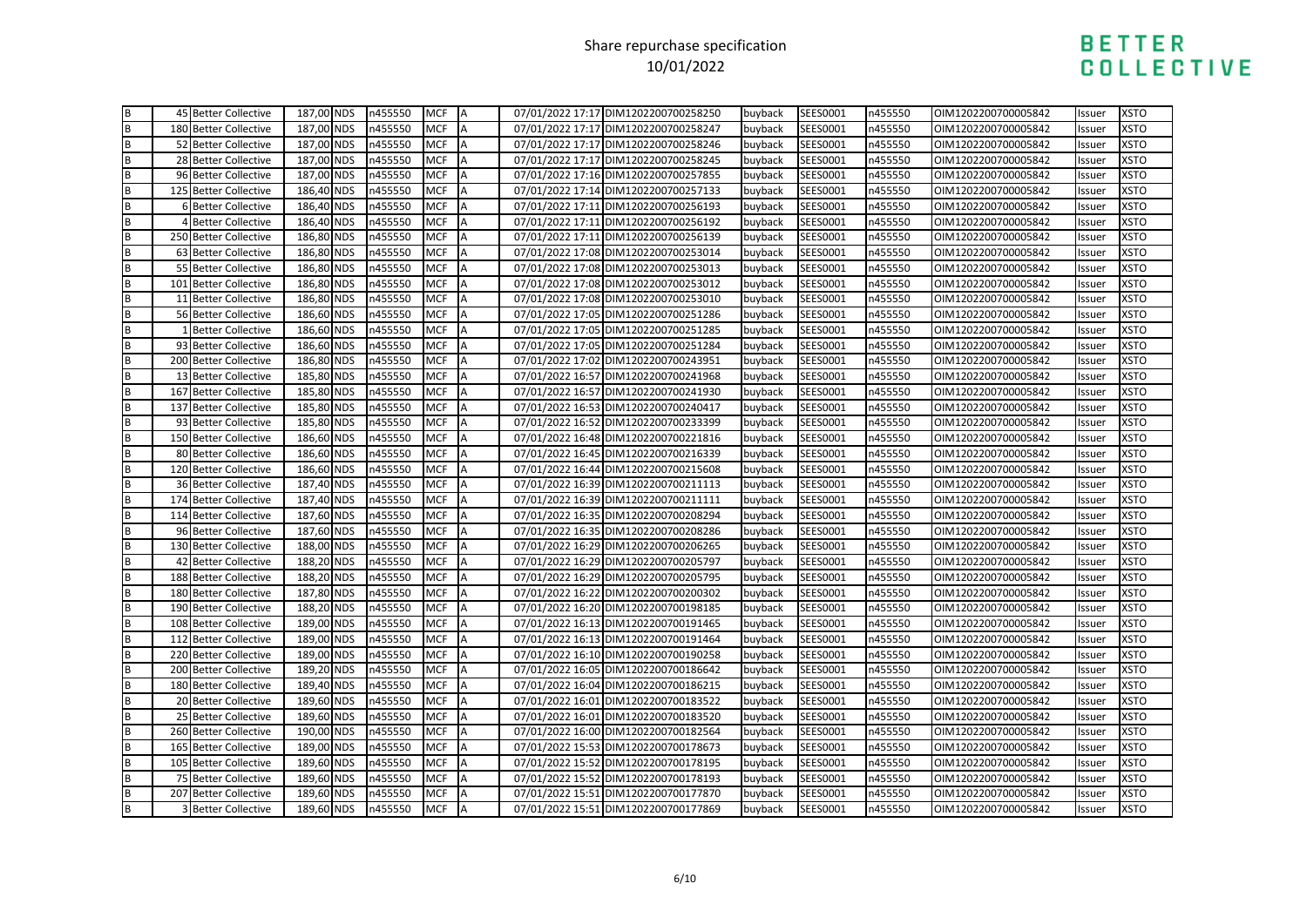|             | 45 Better Collective       | 187,00 NDS | n455550 | <b>MCF</b> | IA       | 07/01/2022 17:17 DIM1202200700258250 | buyback | SEES0001 | n455550 | OIM1202200700005842 | Issuer | <b>XSTO</b> |
|-------------|----------------------------|------------|---------|------------|----------|--------------------------------------|---------|----------|---------|---------------------|--------|-------------|
| B<br>B      | 180 Better Collective      | 187,00 NDS | n455550 | <b>MCF</b> | <b>A</b> | 07/01/2022 17:17 DIM1202200700258247 | buyback | SEES0001 | n455550 | OIM1202200700005842 | Issuer | <b>XSTO</b> |
|             | 52 Better Collective       | 187,00 NDS | n455550 | <b>MCF</b> | A        | 07/01/2022 17:17 DIM1202200700258246 | buyback | SEES0001 | n455550 | OIM1202200700005842 | Issuer | <b>XSTO</b> |
|             | 28 Better Collective       | 187,00 NDS | n455550 | <b>MCF</b> | A        | 07/01/2022 17:17 DIM1202200700258245 | buyback | SEES0001 | n455550 | OIM1202200700005842 | Issuer | <b>XSTO</b> |
|             | 96 Better Collective       | 187,00 NDS | n455550 | <b>MCF</b> | A        | 07/01/2022 17:16 DIM1202200700257855 | buyback | SEES0001 | n455550 | OIM1202200700005842 | Issuer | <b>XSTO</b> |
|             | 125 Better Collective      | 186,40 NDS | n455550 | <b>MCF</b> | A        | 07/01/2022 17:14 DIM1202200700257133 | buyback | SEES0001 | n455550 | OIM1202200700005842 | Issuer | <b>XSTO</b> |
|             | <b>6 Better Collective</b> | 186,40 NDS | n455550 | <b>MCF</b> | A        | 07/01/2022 17:11 DIM1202200700256193 | buyback | SEES0001 | n455550 | OIM1202200700005842 | Issuer | <b>XSTO</b> |
|             | 4 Better Collective        | 186,40 NDS | n455550 | <b>MCF</b> | A        | 07/01/2022 17:11 DIM1202200700256192 | buyback | SEES0001 | n455550 | OIM1202200700005842 | Issuer | <b>XSTO</b> |
|             | 250 Better Collective      | 186,80 NDS | n455550 | <b>MCF</b> | A        | 07/01/2022 17:11 DIM1202200700256139 | buyback | SEES0001 | n455550 | OIM1202200700005842 | Issuer | <b>XSTO</b> |
|             | 63 Better Collective       | 186,80 NDS | n455550 | <b>MCF</b> | A        | 07/01/2022 17:08 DIM1202200700253014 | buyback | SEES0001 | n455550 | OIM1202200700005842 | Issuer | <b>XSTO</b> |
|             | 55 Better Collective       | 186,80 NDS | n455550 | <b>MCF</b> | A        | 07/01/2022 17:08 DIM1202200700253013 | buyback | SEES0001 | n455550 | OIM1202200700005842 | Issuer | <b>XSTO</b> |
|             | 101 Better Collective      | 186,80 NDS | n455550 | <b>MCF</b> | A        | 07/01/2022 17:08 DIM1202200700253012 | buyback | SEES0001 | n455550 | OIM1202200700005842 | Issuer | <b>XSTO</b> |
|             | 11 Better Collective       | 186.80 NDS | n455550 | <b>MCF</b> | <b>A</b> | 07/01/2022 17:08 DIM1202200700253010 | buyback | SEES0001 | n455550 | OIM1202200700005842 | Issuer | <b>XSTO</b> |
|             | 56 Better Collective       | 186,60 NDS | n455550 | <b>MCF</b> | A        | 07/01/2022 17:05 DIM1202200700251286 | buyback | SEES0001 | n455550 | OIM1202200700005842 | Issuer | <b>XSTO</b> |
|             | 1 Better Collective        | 186,60 NDS | n455550 | <b>MCF</b> | A        | 07/01/2022 17:05 DIM1202200700251285 | buyback | SEES0001 | n455550 | OIM1202200700005842 | Issuer | <b>XSTO</b> |
|             | 93 Better Collective       | 186,60 NDS | n455550 | <b>MCF</b> | A        | 07/01/2022 17:05 DIM1202200700251284 | buyback | SEES0001 | n455550 | OIM1202200700005842 | Issuer | <b>XSTO</b> |
|             | 200 Better Collective      | 186,80 NDS | n455550 | <b>MCF</b> | A        | 07/01/2022 17:02 DIM1202200700243951 | buyback | SEES0001 | n455550 | OIM1202200700005842 | Issuer | <b>XSTO</b> |
|             | 13 Better Collective       | 185,80 NDS | n455550 | <b>MCF</b> | A        | 07/01/2022 16:57 DIM1202200700241968 | buyback | SEES0001 | n455550 | OIM1202200700005842 | Issuer | <b>XSTO</b> |
|             | 167 Better Collective      | 185,80 NDS | n455550 | <b>MCF</b> | A        | 07/01/2022 16:57 DIM1202200700241930 | buyback | SEES0001 | n455550 | OIM1202200700005842 | Issuer | <b>XSTO</b> |
|             | 137 Better Collective      | 185,80 NDS | n455550 | <b>MCF</b> | A        | 07/01/2022 16:53 DIM1202200700240417 | buyback | SEES0001 | n455550 | OIM1202200700005842 | Issuer | <b>XSTO</b> |
|             | 93 Better Collective       | 185,80 NDS | n455550 | <b>MCF</b> | A        | 07/01/2022 16:52 DIM1202200700233399 | buyback | SEES0001 | n455550 | OIM1202200700005842 | Issuer | <b>XSTO</b> |
|             | 150 Better Collective      | 186,60 NDS | n455550 | <b>MCF</b> | <b>A</b> | 07/01/2022 16:48 DIM1202200700221816 | buyback | SEES0001 | n455550 | OIM1202200700005842 | Issuer | <b>XSTO</b> |
|             | 80 Better Collective       | 186,60 NDS | n455550 | <b>MCF</b> | A        | 07/01/2022 16:45 DIM1202200700216339 | buyback | SEES0001 | n455550 | OIM1202200700005842 | Issuer | <b>XSTO</b> |
|             | 120 Better Collective      | 186,60 NDS | n455550 | <b>MCF</b> | <b>A</b> | 07/01/2022 16:44 DIM1202200700215608 | buyback | SEES0001 | n455550 | OIM1202200700005842 | Issuer | <b>XSTO</b> |
|             | 36 Better Collective       | 187,40 NDS | n455550 | <b>MCF</b> | ΙA       | 07/01/2022 16:39 DIM1202200700211113 | buyback | SEES0001 | n455550 | OIM1202200700005842 | Issuer | <b>XSTO</b> |
|             | 174 Better Collective      | 187,40 NDS | n455550 | <b>MCF</b> | A        | 07/01/2022 16:39 DIM1202200700211111 | buyback | SEES0001 | n455550 | OIM1202200700005842 | Issuer | <b>XSTO</b> |
|             | 114 Better Collective      | 187,60 NDS | n455550 | <b>MCF</b> | <b>A</b> | 07/01/2022 16:35 DIM1202200700208294 | buyback | SEES0001 | n455550 | OIM1202200700005842 | Issuer | <b>XSTO</b> |
|             | 96 Better Collective       | 187,60 NDS | n455550 | <b>MCF</b> | A        | 07/01/2022 16:35 DIM1202200700208286 | buyback | SEES0001 | n455550 | OIM1202200700005842 | Issuer | <b>XSTO</b> |
|             | 130 Better Collective      | 188,00 NDS | n455550 | <b>MCF</b> |          | 07/01/2022 16:29 DIM1202200700206265 | buyback | SEES0001 | n455550 | OIM1202200700005842 | Issuer | <b>XSTO</b> |
|             | 42 Better Collective       | 188,20 NDS | n455550 | <b>MCF</b> | A        | 07/01/2022 16:29 DIM1202200700205797 | buyback | SEES0001 | n455550 | OIM1202200700005842 | Issuer | <b>XSTO</b> |
|             | 188 Better Collective      | 188,20 NDS | n455550 | <b>MCF</b> | <b>A</b> | 07/01/2022 16:29 DIM1202200700205795 | buyback | SEES0001 | n455550 | OIM1202200700005842 | Issuer | <b>XSTO</b> |
|             | 180 Better Collective      | 187,80 NDS | n455550 | <b>MCF</b> | A        | 07/01/2022 16:22 DIM1202200700200302 | buyback | SEES0001 | n455550 | OIM1202200700005842 | Issuer | <b>XSTO</b> |
|             | 190 Better Collective      | 188,20 NDS | n455550 | <b>MCF</b> | A        | 07/01/2022 16:20 DIM1202200700198185 | buyback | SEES0001 | n455550 | OIM1202200700005842 | Issuer | <b>XSTO</b> |
|             | 108 Better Collective      | 189,00 NDS | n455550 | <b>MCF</b> | A        | 07/01/2022 16:13 DIM1202200700191465 | buyback | SEES0001 | n455550 | OIM1202200700005842 | Issuer | <b>XSTO</b> |
|             | 112 Better Collective      | 189,00 NDS | n455550 | <b>MCF</b> | A        | 07/01/2022 16:13 DIM1202200700191464 | buyback | SEES0001 | n455550 | OIM1202200700005842 | Issuer | <b>XSTO</b> |
| m<br>B      | 220 Better Collective      | 189,00 NDS | n455550 | <b>MCF</b> | A        | 07/01/2022 16:10 DIM1202200700190258 | buyback | SEES0001 | n455550 | OIM1202200700005842 | Issuer | <b>XSTO</b> |
|             | 200 Better Collective      | 189.20 NDS | n455550 | <b>MCF</b> | A        | 07/01/2022 16:05 DIM1202200700186642 | buyback | SEES0001 | n455550 | OIM1202200700005842 | Issuer | <b>XSTO</b> |
| B           | 180 Better Collective      | 189,40 NDS | n455550 | <b>MCF</b> | <b>A</b> | 07/01/2022 16:04 DIM1202200700186215 | buyback | SEES0001 | n455550 | OIM1202200700005842 | Issuer | <b>XSTO</b> |
|             | 20 Better Collective       | 189,60 NDS | n455550 | <b>MCF</b> | A        | 07/01/2022 16:01 DIM1202200700183522 | buyback | SEES0001 | n455550 | OIM1202200700005842 | Issuer | <b>XSTO</b> |
| m m m m     | 25 Better Collective       | 189,60 NDS | n455550 | <b>MCF</b> | <b>A</b> | 07/01/2022 16:01 DIM1202200700183520 | buyback | SEES0001 | n455550 | OIM1202200700005842 | Issuer | <b>XSTO</b> |
|             | 260 Better Collective      | 190,00 NDS | n455550 | <b>MCF</b> | A        | 07/01/2022 16:00 DIM1202200700182564 | buyback | SEES0001 | n455550 | OIM1202200700005842 | Issuer | <b>XSTO</b> |
|             | 165 Better Collective      | 189,00 NDS | n455550 | <b>MCF</b> | A        | 07/01/2022 15:53 DIM1202200700178673 | buyback | SEES0001 | n455550 | OIM1202200700005842 | Issuer | <b>XSTO</b> |
| <b>□□□□</b> | 105 Better Collective      | 189,60 NDS | n455550 | <b>MCF</b> | A        | 07/01/2022 15:52 DIM1202200700178195 | buyback | SEES0001 | n455550 | OIM1202200700005842 | Issuer | <b>XSTO</b> |
|             | 75 Better Collective       | 189,60 NDS | n455550 | <b>MCF</b> | <b>A</b> | 07/01/2022 15:52 DIM1202200700178193 | buyback | SEES0001 | n455550 | OIM1202200700005842 | Issuer | <b>XSTO</b> |
|             | 207 Better Collective      | 189,60 NDS | n455550 | <b>MCF</b> | A        | 07/01/2022 15:51 DIM1202200700177870 | buyback | SEES0001 | n455550 | OIM1202200700005842 | Issuer | <b>XSTO</b> |
|             | <b>3 Better Collective</b> | 189,60 NDS | n455550 | <b>MCF</b> | IА       | 07/01/2022 15:51 DIM1202200700177869 | buyback | SEES0001 | n455550 | OIM1202200700005842 | Issuer | <b>XSTO</b> |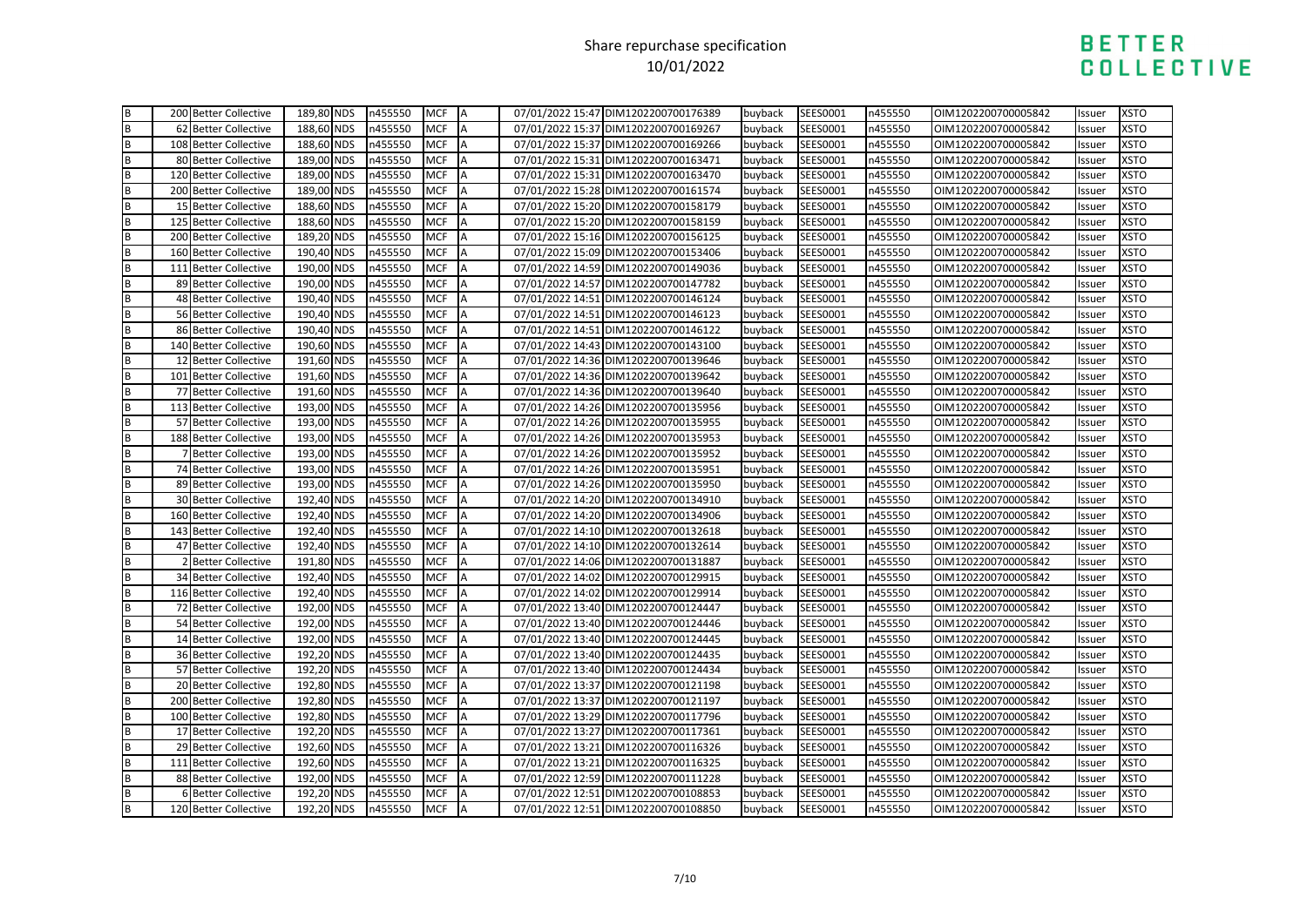|                  | 200 Better Collective | 189,80 NDS | n455550 | <b>MCF</b> | ΙA        | 07/01/2022 15:47 DIM1202200700176389 | buyback | SEES0001 | n455550 | OIM1202200700005842 | Issuer | <b>XSTO</b> |
|------------------|-----------------------|------------|---------|------------|-----------|--------------------------------------|---------|----------|---------|---------------------|--------|-------------|
| m a              | 62 Better Collective  | 188,60 NDS | n455550 | <b>MCF</b> | A         | 07/01/2022 15:37 DIM1202200700169267 | buyback | SEES0001 | n455550 | OIM1202200700005842 | Issuer | <b>XSTO</b> |
|                  | 108 Better Collective | 188,60 NDS | n455550 | <b>MCF</b> | <b>IA</b> | 07/01/2022 15:37 DIM1202200700169266 | buyback | SEES0001 | n455550 | OIM1202200700005842 | Issuer | <b>XSTO</b> |
| B<br>B<br>B      | 80 Better Collective  | 189,00 NDS | n455550 | <b>MCF</b> | A         | 07/01/2022 15:31 DIM1202200700163471 | buyback | SEES0001 | n455550 | OIM1202200700005842 | Issuer | <b>XSTO</b> |
|                  | 120 Better Collective | 189,00 NDS | n455550 | <b>MCF</b> | A         | 07/01/2022 15:31 DIM1202200700163470 | buyback | SEES0001 | n455550 | OIM1202200700005842 | Issuer | <b>XSTO</b> |
|                  | 200 Better Collective | 189,00 NDS | n455550 | <b>MCF</b> | A         | 07/01/2022 15:28 DIM1202200700161574 | buyback | SEES0001 | n455550 | OIM1202200700005842 | lssuer | <b>XSTO</b> |
| <b>B</b> B B B B | 15 Better Collective  | 188,60 NDS | n455550 | <b>MCF</b> | A         | 07/01/2022 15:20 DIM1202200700158179 | buyback | SEES0001 | n455550 | OIM1202200700005842 | Issuer | <b>XSTO</b> |
|                  | 125 Better Collective | 188,60 NDS | n455550 | <b>MCF</b> | A         | 07/01/2022 15:20 DIM1202200700158159 | buyback | SEES0001 | n455550 | OIM1202200700005842 | Issuer | <b>XSTO</b> |
|                  | 200 Better Collective | 189,20 NDS | n455550 | <b>MCF</b> | A         | 07/01/2022 15:16 DIM1202200700156125 | buyback | SEES0001 | n455550 | OIM1202200700005842 | Issuer | <b>XSTO</b> |
|                  | 160 Better Collective | 190,40 NDS | n455550 | <b>MCF</b> | A         | 07/01/2022 15:09 DIM1202200700153406 | buyback | SEES0001 | n455550 | OIM1202200700005842 | Issuer | <b>XSTO</b> |
|                  | 111 Better Collective | 190,00 NDS | n455550 | <b>MCF</b> | A         | 07/01/2022 14:59 DIM1202200700149036 | buyback | SEES0001 | n455550 | OIM1202200700005842 | Issuer | <b>XSTO</b> |
| m m m            | 89 Better Collective  | 190,00 NDS | n455550 | <b>MCF</b> | A         | 07/01/2022 14:57 DIM1202200700147782 | buyback | SEES0001 | n455550 | OIM1202200700005842 | Issuer | <b>XSTO</b> |
|                  | 48 Better Collective  | 190,40 NDS | n455550 | <b>MCF</b> |           | 07/01/2022 14:51 DIM1202200700146124 | buyback | SEES0001 | n455550 | OIM1202200700005842 | Issuer | <b>XSTO</b> |
|                  | 56 Better Collective  | 190,40 NDS | n455550 | <b>MCF</b> | A         | 07/01/2022 14:51 DIM1202200700146123 | buyback | SEES0001 | n455550 | OIM1202200700005842 | Issuer | <b>XSTO</b> |
| m m m m          | 86 Better Collective  | 190,40 NDS | n455550 | <b>MCF</b> | A         | 07/01/2022 14:51 DIM1202200700146122 | buyback | SEES0001 | n455550 | OIM1202200700005842 | Issuer | <b>XSTO</b> |
|                  | 140 Better Collective | 190,60 NDS | n455550 | <b>MCF</b> | A         | 07/01/2022 14:43 DIM1202200700143100 | buyback | SEES0001 | n455550 | OIM1202200700005842 | Issuer | <b>XSTO</b> |
|                  | 12 Better Collective  | 191,60 NDS | n455550 | <b>MCF</b> | ΙA        | 07/01/2022 14:36 DIM1202200700139646 | buyback | SEES0001 | n455550 | OIM1202200700005842 | Issuer | <b>XSTO</b> |
|                  | 101 Better Collective | 191,60 NDS | n455550 | <b>MCF</b> | A         | 07/01/2022 14:36 DIM1202200700139642 | buyback | SEES0001 | n455550 | OIM1202200700005842 | Issuer | <b>XSTO</b> |
| B                | 77 Better Collective  | 191,60 NDS | n455550 | <b>MCF</b> | ΙA        | 07/01/2022 14:36 DIM1202200700139640 | buyback | SEES0001 | n455550 | OIM1202200700005842 | Issuer | <b>XSTO</b> |
|                  | 113 Better Collective | 193,00 NDS | n455550 | <b>MCF</b> | <b>A</b>  | 07/01/2022 14:26 DIM1202200700135956 | buyback | SEES0001 | n455550 | OIM1202200700005842 | Issuer | <b>XSTO</b> |
|                  | 57 Better Collective  | 193,00 NDS | n455550 | <b>MCF</b> | A         | 07/01/2022 14:26 DIM1202200700135955 | buyback | SEES0001 | n455550 | OIM1202200700005842 | Issuer | <b>XSTO</b> |
|                  | 188 Better Collective | 193,00 NDS | n455550 | <b>MCF</b> | ΙA        | 07/01/2022 14:26 DIM1202200700135953 | buyback | SEES0001 | n455550 | OIM1202200700005842 | lssuer | <b>XSTO</b> |
|                  | 7 Better Collective   | 193,00 NDS | n455550 | <b>MCF</b> | <b>A</b>  | 07/01/2022 14:26 DIM1202200700135952 | buyback | SEES0001 | n455550 | OIM1202200700005842 | Issuer | <b>XSTO</b> |
|                  | 74 Better Collective  | 193,00 NDS | n455550 | <b>MCF</b> | A         | 07/01/2022 14:26 DIM1202200700135951 | buyback | SEES0001 | n455550 | OIM1202200700005842 | Issuer | <b>XSTO</b> |
|                  | 89 Better Collective  | 193,00 NDS | n455550 | <b>MCF</b> | A         | 07/01/2022 14:26 DIM1202200700135950 | buyback | SEES0001 | n455550 | OIM1202200700005842 | Issuer | <b>XSTO</b> |
|                  | 30 Better Collective  | 192,40 NDS | n455550 | <b>MCF</b> | A         | 07/01/2022 14:20 DIM1202200700134910 | buyback | SEES0001 | n455550 | OIM1202200700005842 | Issuer | <b>XSTO</b> |
|                  | 160 Better Collective | 192,40 NDS | n455550 | <b>MCF</b> | A         | 07/01/2022 14:20 DIM1202200700134906 | buyback | SEES0001 | n455550 | OIM1202200700005842 | Issuer | <b>XSTO</b> |
|                  | 143 Better Collective | 192,40 NDS | n455550 | <b>MCF</b> | A         | 07/01/2022 14:10 DIM1202200700132618 | buyback | SEES0001 | n455550 | OIM1202200700005842 | Issuer | <b>XSTO</b> |
|                  | 47 Better Collective  | 192,40 NDS | n455550 | <b>MCF</b> |           | 07/01/2022 14:10 DIM1202200700132614 | buyback | SEES0001 | n455550 | OIM1202200700005842 | Issuer | <b>XSTO</b> |
|                  | 2 Better Collective   | 191,80 NDS | n455550 | <b>MCF</b> | A         | 07/01/2022 14:06 DIM1202200700131887 | buyback | SEES0001 | n455550 | OIM1202200700005842 | Issuer | <b>XSTO</b> |
|                  | 34 Better Collective  | 192,40 NDS | n455550 | <b>MCF</b> | A         | 07/01/2022 14:02 DIM1202200700129915 | buyback | SEES0001 | n455550 | OIM1202200700005842 | Issuer | <b>XSTO</b> |
|                  | 116 Better Collective | 192,40 NDS | n455550 | <b>MCF</b> | <b>A</b>  | 07/01/2022 14:02 DIM1202200700129914 | buyback | SEES0001 | n455550 | OIM1202200700005842 | Issuer | <b>XSTO</b> |
|                  | 72 Better Collective  | 192,00 NDS | n455550 | <b>MCF</b> | A         | 07/01/2022 13:40 DIM1202200700124447 | buyback | SEES0001 | n455550 | OIM1202200700005842 | Issuer | <b>XSTO</b> |
|                  | 54 Better Collective  | 192,00 NDS | n455550 | <b>MCF</b> | A         | 07/01/2022 13:40 DIM1202200700124446 | buyback | SEES0001 | n455550 | OIM1202200700005842 | Issuer | <b>XSTO</b> |
|                  | 14 Better Collective  | 192,00 NDS | n455550 | <b>MCF</b> | A         | 07/01/2022 13:40 DIM1202200700124445 | buyback | SEES0001 | n455550 | OIM1202200700005842 | Issuer | <b>XSTO</b> |
|                  | 36 Better Collective  | 192,20 NDS | n455550 | <b>MCF</b> | A         | 07/01/2022 13:40 DIM1202200700124435 | buyback | SEES0001 | n455550 | OIM1202200700005842 | Issuer | <b>XSTO</b> |
|                  | 57 Better Collective  | 192,20 NDS | n455550 | <b>MCF</b> | A         | 07/01/2022 13:40 DIM1202200700124434 | buyback | SEES0001 | n455550 | OIM1202200700005842 | Issuer | <b>XSTO</b> |
|                  | 20 Better Collective  | 192,80 NDS | n455550 | <b>MCF</b> | A         | 07/01/2022 13:37 DIM1202200700121198 | buyback | SEES0001 | n455550 | OIM1202200700005842 | Issuer | <b>XSTO</b> |
|                  | 200 Better Collective | 192,80 NDS | n455550 | <b>MCF</b> | A         | 07/01/2022 13:37 DIM1202200700121197 | buyback | SEES0001 | n455550 | OIM1202200700005842 | Issuer | <b>XSTO</b> |
|                  | 100 Better Collective | 192,80 NDS | n455550 | <b>MCF</b> | A         | 07/01/2022 13:29 DIM1202200700117796 | buyback | SEES0001 | n455550 | OIM1202200700005842 | Issuer | <b>XSTO</b> |
|                  | 17 Better Collective  | 192,20 NDS | n455550 | <b>MCF</b> | A         | 07/01/2022 13:27 DIM1202200700117361 | buyback | SEES0001 | n455550 | OIM1202200700005842 | Issuer | <b>XSTO</b> |
|                  | 29 Better Collective  | 192,60 NDS | n455550 | <b>MCF</b> | A         | 07/01/2022 13:21 DIM1202200700116326 | buyback | SEES0001 | n455550 | OIM1202200700005842 | Issuer | <b>XSTO</b> |
|                  | 111 Better Collective | 192,60 NDS | n455550 | <b>MCF</b> | A         | 07/01/2022 13:21 DIM1202200700116325 | buyback | SEES0001 | n455550 | OIM1202200700005842 | Issuer | <b>XSTO</b> |
|                  | 88 Better Collective  | 192,00 NDS | n455550 | <b>MCF</b> | A         | 07/01/2022 12:59 DIM1202200700111228 | buyback | SEES0001 | n455550 | OIM1202200700005842 | Issuer | <b>XSTO</b> |
|                  | 6 Better Collective   | 192,20 NDS | n455550 | <b>MCF</b> | A         | 07/01/2022 12:51 DIM1202200700108853 | buyback | SEES0001 | n455550 | OIM1202200700005842 | Issuer | <b>XSTO</b> |
|                  | 120 Better Collective | 192,20 NDS | n455550 | <b>MCF</b> | IA        | 07/01/2022 12:51 DIM1202200700108850 | buyback | SEES0001 | n455550 | OIM1202200700005842 | Issuer | <b>XSTO</b> |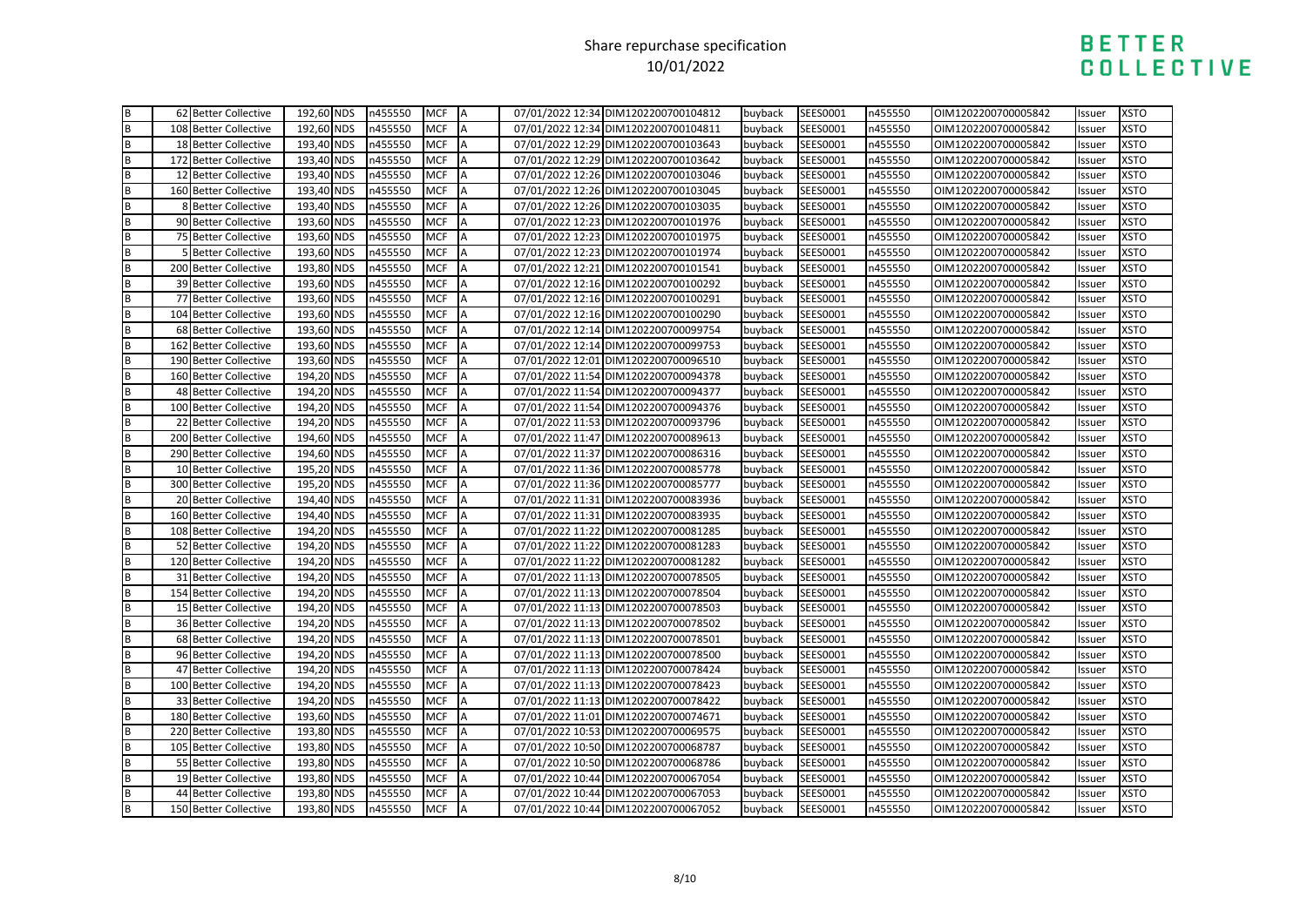|                                      | 62 Better Collective  | 192,60 NDS | n455550 | <b>MCF</b> | IA        | 07/01/2022 12:34 DIM1202200700104812 | buyback | SEES0001 | n455550 | OIM1202200700005842 | Issuer | <b>XSTO</b> |
|--------------------------------------|-----------------------|------------|---------|------------|-----------|--------------------------------------|---------|----------|---------|---------------------|--------|-------------|
| m m                                  | 108 Better Collective | 192,60 NDS | n455550 | <b>MCF</b> | A         | 07/01/2022 12:34 DIM1202200700104811 | buyback | SEES0001 | n455550 | OIM1202200700005842 | Issuer | <b>XSTO</b> |
|                                      | 18 Better Collective  | 193,40 NDS | n455550 | <b>MCF</b> | <b>IA</b> | 07/01/2022 12:29 DIM1202200700103643 | buyback | SEES0001 | n455550 | OIM1202200700005842 | Issuer | <b>XSTO</b> |
| <b>a</b>   a   a   a   a   a   a   a | 172 Better Collective | 193,40 NDS | n455550 | <b>MCF</b> | A         | 07/01/2022 12:29 DIM1202200700103642 | buyback | SEES0001 | n455550 | OIM1202200700005842 | Issuer | <b>XSTO</b> |
|                                      | 12 Better Collective  | 193,40 NDS | n455550 | <b>MCF</b> | A         | 07/01/2022 12:26 DIM1202200700103046 | buyback | SEES0001 | n455550 | OIM1202200700005842 | Issuer | <b>XSTO</b> |
|                                      | 160 Better Collective | 193,40 NDS | n455550 | <b>MCF</b> | A         | 07/01/2022 12:26 DIM1202200700103045 | buyback | SEES0001 | n455550 | OIM1202200700005842 | lssuer | <b>XSTO</b> |
|                                      | 8 Better Collective   | 193,40 NDS | n455550 | <b>MCF</b> | A         | 07/01/2022 12:26 DIM1202200700103035 | buyback | SEES0001 | n455550 | OIM1202200700005842 | Issuer | <b>XSTO</b> |
|                                      | 90 Better Collective  | 193,60 NDS | n455550 | <b>MCF</b> | A         | 07/01/2022 12:23 DIM1202200700101976 | buyback | SEES0001 | n455550 | OIM1202200700005842 | Issuer | <b>XSTO</b> |
|                                      | 75 Better Collective  | 193,60 NDS | n455550 | <b>MCF</b> | A         | 07/01/2022 12:23 DIM1202200700101975 | buyback | SEES0001 | n455550 | OIM1202200700005842 | Issuer | <b>XSTO</b> |
|                                      | 5 Better Collective   | 193,60 NDS | n455550 | <b>MCF</b> | A         | 07/01/2022 12:23 DIM1202200700101974 | buyback | SEES0001 | n455550 | OIM1202200700005842 | Issuer | <b>XSTO</b> |
|                                      | 200 Better Collective | 193,80 NDS | n455550 | <b>MCF</b> | A         | 07/01/2022 12:21 DIM1202200700101541 | buyback | SEES0001 | n455550 | OIM1202200700005842 | Issuer | <b>XSTO</b> |
| m   m   m                            | 39 Better Collective  | 193,60 NDS | n455550 | <b>MCF</b> | A         | 07/01/2022 12:16 DIM1202200700100292 | buyback | SEES0001 | n455550 | OIM1202200700005842 | Issuer | <b>XSTO</b> |
|                                      | 77 Better Collective  | 193,60 NDS | n455550 | <b>MCF</b> |           | 07/01/2022 12:16 DIM1202200700100291 | buyback | SEES0001 | n455550 | OIM1202200700005842 | Issuer | <b>XSTO</b> |
|                                      | 104 Better Collective | 193,60 NDS | n455550 | <b>MCF</b> | A         | 07/01/2022 12:16 DIM1202200700100290 | buyback | SEES0001 | n455550 | OIM1202200700005842 | Issuer | <b>XSTO</b> |
|                                      | 68 Better Collective  | 193,60 NDS | n455550 | <b>MCF</b> | A         | 07/01/2022 12:14 DIM1202200700099754 | buyback | SEES0001 | n455550 | OIM1202200700005842 | Issuer | <b>XSTO</b> |
| m m m m                              | 162 Better Collective | 193,60 NDS | n455550 | <b>MCF</b> | A         | 07/01/2022 12:14 DIM1202200700099753 | buyback | SEES0001 | n455550 | OIM1202200700005842 | Issuer | <b>XSTO</b> |
|                                      | 190 Better Collective | 193,60 NDS | n455550 | <b>MCF</b> | ΙA        | 07/01/2022 12:01 DIM1202200700096510 | buyback | SEES0001 | n455550 | OIM1202200700005842 | Issuer | <b>XSTO</b> |
|                                      | 160 Better Collective | 194,20 NDS | n455550 | <b>MCF</b> | A         | 07/01/2022 11:54 DIM1202200700094378 | buyback | SEES0001 | n455550 | OIM1202200700005842 | Issuer | <b>XSTO</b> |
| B                                    | 48 Better Collective  | 194,20 NDS | n455550 | <b>MCF</b> | A         | 07/01/2022 11:54 DIM1202200700094377 | buyback | SEES0001 | n455550 | OIM1202200700005842 | Issuer | <b>XSTO</b> |
|                                      | 100 Better Collective | 194,20 NDS | n455550 | <b>MCF</b> | <b>A</b>  | 07/01/2022 11:54 DIM1202200700094376 | buyback | SEES0001 | n455550 | OIM1202200700005842 | Issuer | <b>XSTO</b> |
|                                      | 22 Better Collective  | 194,20 NDS | n455550 | <b>MCF</b> | A         | 07/01/2022 11:53 DIM1202200700093796 | buyback | SEES0001 | n455550 | OIM1202200700005842 | Issuer | <b>XSTO</b> |
|                                      | 200 Better Collective | 194,60 NDS | n455550 | <b>MCF</b> | ΙA        | 07/01/2022 11:47 DIM1202200700089613 | buyback | SEES0001 | n455550 | OIM1202200700005842 | lssuer | <b>XSTO</b> |
|                                      | 290 Better Collective | 194,60 NDS | n455550 | <b>MCF</b> | <b>A</b>  | 07/01/2022 11:37 DIM1202200700086316 | buyback | SEES0001 | n455550 | OIM1202200700005842 | Issuer | <b>XSTO</b> |
|                                      | 10 Better Collective  | 195,20 NDS | n455550 | <b>MCF</b> | A         | 07/01/2022 11:36 DIM1202200700085778 | buyback | SEES0001 | n455550 | OIM1202200700005842 | Issuer | <b>XSTO</b> |
|                                      | 300 Better Collective | 195,20 NDS | n455550 | <b>MCF</b> | A         | 07/01/2022 11:36 DIM1202200700085777 | buyback | SEES0001 | n455550 | OIM1202200700005842 | Issuer | <b>XSTO</b> |
|                                      | 20 Better Collective  | 194,40 NDS | n455550 | <b>MCF</b> | A         | 07/01/2022 11:31 DIM1202200700083936 | buyback | SEES0001 | n455550 | OIM1202200700005842 | Issuer | <b>XSTO</b> |
|                                      | 160 Better Collective | 194,40 NDS | n455550 | <b>MCF</b> | A         | 07/01/2022 11:31 DIM1202200700083935 | buyback | SEES0001 | n455550 | OIM1202200700005842 | Issuer | <b>XSTO</b> |
|                                      | 108 Better Collective | 194,20 NDS | n455550 | <b>MCF</b> | A         | 07/01/2022 11:22 DIM1202200700081285 | buyback | SEES0001 | n455550 | OIM1202200700005842 | Issuer | <b>XSTO</b> |
|                                      | 52 Better Collective  | 194,20 NDS | n455550 | <b>MCF</b> |           | 07/01/2022 11:22 DIM1202200700081283 | buyback | SEES0001 | n455550 | OIM1202200700005842 | Issuer | <b>XSTO</b> |
|                                      | 120 Better Collective | 194,20 NDS | n455550 | <b>MCF</b> | A         | 07/01/2022 11:22 DIM1202200700081282 | buyback | SEES0001 | n455550 | OIM1202200700005842 | Issuer | <b>XSTO</b> |
|                                      | 31 Better Collective  | 194,20 NDS | n455550 | <b>MCF</b> | A         | 07/01/2022 11:13 DIM1202200700078505 | buyback | SEES0001 | n455550 | OIM1202200700005842 | Issuer | <b>XSTO</b> |
|                                      | 154 Better Collective | 194,20 NDS | n455550 | <b>MCF</b> | <b>A</b>  | 07/01/2022 11:13 DIM1202200700078504 | buyback | SEES0001 | n455550 | OIM1202200700005842 | Issuer | <b>XSTO</b> |
|                                      | 15 Better Collective  | 194,20 NDS | n455550 | <b>MCF</b> | A         | 07/01/2022 11:13 DIM1202200700078503 | buyback | SEES0001 | n455550 | OIM1202200700005842 | Issuer | <b>XSTO</b> |
|                                      | 36 Better Collective  | 194,20 NDS | n455550 | <b>MCF</b> | A         | 07/01/2022 11:13 DIM1202200700078502 | buyback | SEES0001 | n455550 | OIM1202200700005842 | Issuer | <b>XSTO</b> |
|                                      | 68 Better Collective  | 194,20 NDS | n455550 | <b>MCF</b> | A         | 07/01/2022 11:13 DIM1202200700078501 | buyback | SEES0001 | n455550 | OIM1202200700005842 | Issuer | <b>XSTO</b> |
|                                      | 96 Better Collective  | 194,20 NDS | n455550 | <b>MCF</b> | A         | 07/01/2022 11:13 DIM1202200700078500 | buyback | SEES0001 | n455550 | OIM1202200700005842 | Issuer | <b>XSTO</b> |
|                                      | 47 Better Collective  | 194,20 NDS | n455550 | <b>MCF</b> | A         | 07/01/2022 11:13 DIM1202200700078424 | buyback | SEES0001 | n455550 | OIM1202200700005842 | Issuer | <b>XSTO</b> |
|                                      | 100 Better Collective | 194,20 NDS | n455550 | <b>MCF</b> | A         | 07/01/2022 11:13 DIM1202200700078423 | buyback | SEES0001 | n455550 | OIM1202200700005842 | Issuer | <b>XSTO</b> |
| m m m m                              | 33 Better Collective  | 194,20 NDS | n455550 | <b>MCF</b> | A         | 07/01/2022 11:13 DIM1202200700078422 | buyback | SEES0001 | n455550 | OIM1202200700005842 | Issuer | <b>XSTO</b> |
|                                      | 180 Better Collective | 193,60 NDS | n455550 | <b>MCF</b> | A         | 07/01/2022 11:01 DIM1202200700074671 | buyback | SEES0001 | n455550 | OIM1202200700005842 | Issuer | <b>XSTO</b> |
|                                      | 220 Better Collective | 193,80 NDS | n455550 | <b>MCF</b> | A         | 07/01/2022 10:53 DIM1202200700069575 | buyback | SEES0001 | n455550 | OIM1202200700005842 | Issuer | <b>XSTO</b> |
|                                      | 105 Better Collective | 193,80 NDS | n455550 | <b>MCF</b> | A         | 07/01/2022 10:50 DIM1202200700068787 | buyback | SEES0001 | n455550 | OIM1202200700005842 | Issuer | <b>XSTO</b> |
| <b>∞ ∞ ∞ ∞</b>                       | 55 Better Collective  | 193,80 NDS | n455550 | <b>MCF</b> | A         | 07/01/2022 10:50 DIM1202200700068786 | buyback | SEES0001 | n455550 | OIM1202200700005842 | Issuer | <b>XSTO</b> |
|                                      | 19 Better Collective  | 193,80 NDS | n455550 | <b>MCF</b> | A         | 07/01/2022 10:44 DIM1202200700067054 | buyback | SEES0001 | n455550 | OIM1202200700005842 | Issuer | <b>XSTO</b> |
|                                      | 44 Better Collective  | 193,80 NDS | n455550 | <b>MCF</b> | A         | 07/01/2022 10:44 DIM1202200700067053 | buyback | SEES0001 | n455550 | OIM1202200700005842 | Issuer | <b>XSTO</b> |
|                                      | 150 Better Collective | 193,80 NDS | n455550 | <b>MCF</b> | IA        | 07/01/2022 10:44 DIM1202200700067052 | buyback | SEES0001 | n455550 | OIM1202200700005842 | Issuer | <b>XSTO</b> |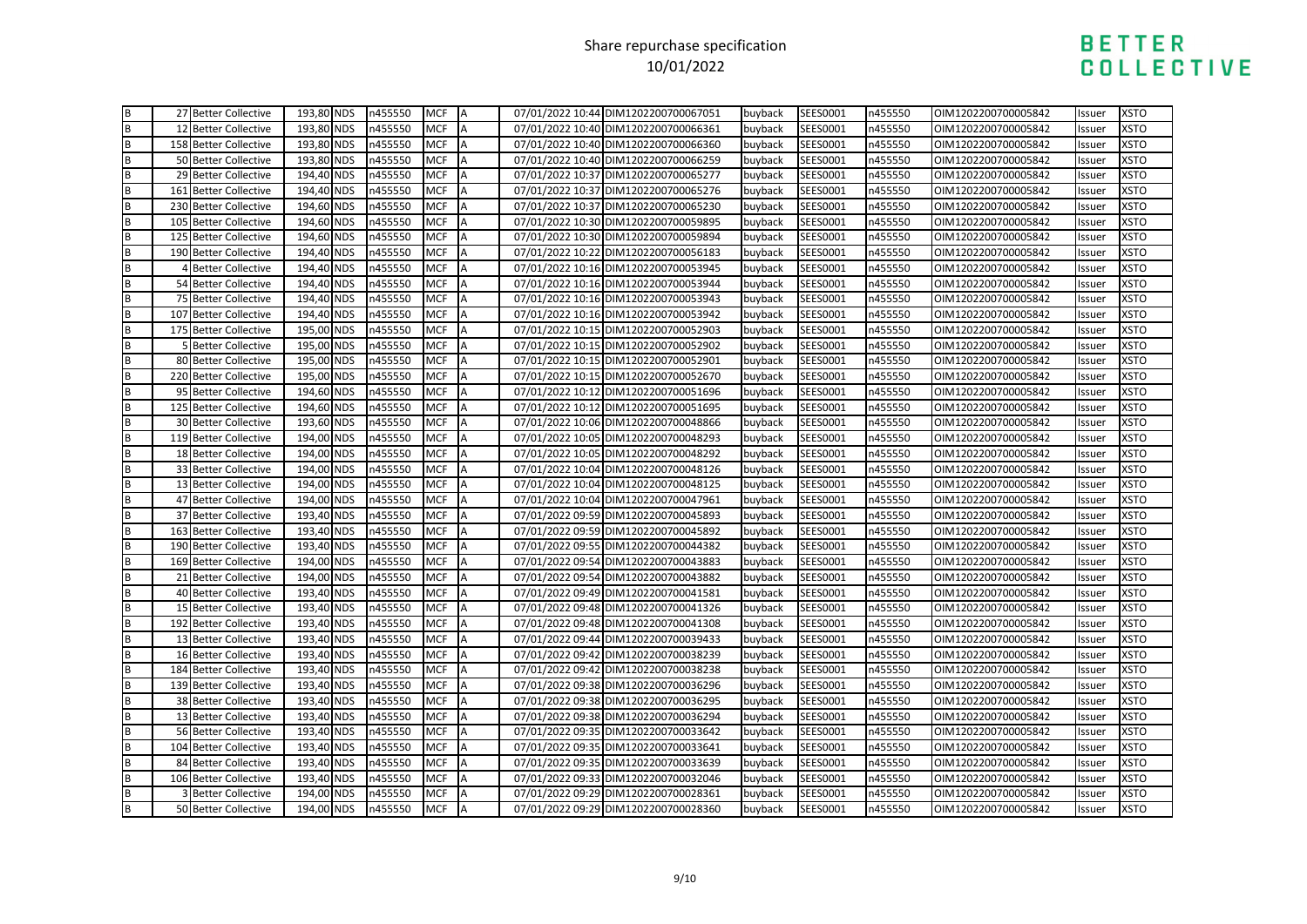| B<br>B        | 27 Better Collective       | 193,80 NDS | n455550 | <b>MCF</b> | <b>JA</b> | 07/01/2022 10:44 DIM1202200700067051 | buyback | SEES0001 | n455550 | OIM1202200700005842 | Issuer | <b>XSTO</b> |
|---------------|----------------------------|------------|---------|------------|-----------|--------------------------------------|---------|----------|---------|---------------------|--------|-------------|
|               | 12 Better Collective       | 193,80 NDS | n455550 | <b>MCF</b> | A         | 07/01/2022 10:40 DIM1202200700066361 | buyback | SEES0001 | n455550 | OIM1202200700005842 | Issuer | <b>XSTO</b> |
|               | 158 Better Collective      | 193,80 NDS | n455550 | <b>MCF</b> | A         | 07/01/2022 10:40 DIM1202200700066360 | buyback | SEES0001 | n455550 | OIM1202200700005842 | Issuer | <b>XSTO</b> |
| ∞∣∞∣∞         | 50 Better Collective       | 193,80 NDS | n455550 | <b>MCF</b> | A         | 07/01/2022 10:40 DIM1202200700066259 | buyback | SEES0001 | n455550 | OIM1202200700005842 | Issuer | <b>XSTO</b> |
|               | 29 Better Collective       | 194,40 NDS | n455550 | <b>MCF</b> | A         | 07/01/2022 10:37 DIM1202200700065277 | buyback | SEES0001 | n455550 | OIM1202200700005842 | Issuer | <b>XSTO</b> |
|               | 161 Better Collective      | 194,40 NDS | n455550 | <b>MCF</b> | A         | 07/01/2022 10:37 DIM1202200700065276 | buyback | SEES0001 | n455550 | OIM1202200700005842 | Issuer | <b>XSTO</b> |
| B             | 230 Better Collective      | 194,60 NDS | n455550 | <b>MCF</b> | A         | 07/01/2022 10:37 DIM1202200700065230 | buyback | SEES0001 | n455550 | OIM1202200700005842 | Issuer | <b>XSTO</b> |
| ᅃᆱᇛ           | 105 Better Collective      | 194,60 NDS | n455550 | <b>MCF</b> | <b>A</b>  | 07/01/2022 10:30 DIM1202200700059895 | buyback | SEES0001 | n455550 | OIM1202200700005842 | Issuer | <b>XSTO</b> |
|               | 125 Better Collective      | 194,60 NDS | n455550 | <b>MCF</b> | A         | 07/01/2022 10:30 DIM1202200700059894 | buyback | SEES0001 | n455550 | OIM1202200700005842 | Issuer | <b>XSTO</b> |
|               | 190 Better Collective      | 194,40 NDS | n455550 | <b>MCF</b> | A         | 07/01/2022 10:22 DIM1202200700056183 | buyback | SEES0001 | n455550 | OIM1202200700005842 | Issuer | <b>XSTO</b> |
| m m m m       | 4 Better Collective        | 194,40 NDS | n455550 | <b>MCF</b> | IΑ        | 07/01/2022 10:16 DIM1202200700053945 | buyback | SEES0001 | n455550 | OIM1202200700005842 | Issuer | <b>XSTO</b> |
|               | 54 Better Collective       | 194,40 NDS | n455550 | <b>MCF</b> | A         | 07/01/2022 10:16 DIM1202200700053944 | buyback | SEES0001 | n455550 | OIM1202200700005842 | Issuer | <b>XSTO</b> |
|               | 75 Better Collective       | 194,40 NDS | n455550 | <b>MCF</b> | A         | 07/01/2022 10:16 DIM1202200700053943 | buyback | SEES0001 | n455550 | OIM1202200700005842 | Issuer | <b>XSTO</b> |
|               | 107 Better Collective      | 194,40 NDS | n455550 | <b>MCF</b> | A         | 07/01/2022 10:16 DIM1202200700053942 | buyback | SEES0001 | n455550 | OIM1202200700005842 | Issuer | <b>XSTO</b> |
|               | 175 Better Collective      | 195,00 NDS | n455550 | <b>MCF</b> | A         | 07/01/2022 10:15 DIM1202200700052903 | buyback | SEES0001 | n455550 | OIM1202200700005842 | Issuer | <b>XSTO</b> |
|               | 5 Better Collective        | 195,00 NDS | n455550 | <b>MCF</b> | A         | 07/01/2022 10:15 DIM1202200700052902 | buyback | SEES0001 | n455550 | OIM1202200700005842 | Issuer | <b>XSTO</b> |
| m m m m       | 80 Better Collective       | 195,00 NDS | n455550 | <b>MCF</b> | A         | 07/01/2022 10:15 DIM1202200700052901 | buyback | SEES0001 | n455550 | OIM1202200700005842 | Issuer | <b>XSTO</b> |
|               | 220 Better Collective      | 195,00 NDS | n455550 | <b>MCF</b> | A         | 07/01/2022 10:15 DIM1202200700052670 | buyback | SEES0001 | n455550 | OIM1202200700005842 | Issuer | <b>XSTO</b> |
|               | 95 Better Collective       | 194,60 NDS | n455550 | <b>MCF</b> | A         | 07/01/2022 10:12 DIM1202200700051696 | buyback | SEES0001 | n455550 | OIM1202200700005842 | Issuer | <b>XSTO</b> |
| m m m m       | 125 Better Collective      | 194,60 NDS | n455550 | <b>MCF</b> | A         | 07/01/2022 10:12 DIM1202200700051695 | buyback | SEES0001 | n455550 | OIM1202200700005842 | Issuer | <b>XSTO</b> |
|               | 30 Better Collective       | 193,60 NDS | n455550 | <b>MCF</b> | A         | 07/01/2022 10:06 DIM1202200700048866 | buyback | SEES0001 | n455550 | OIM1202200700005842 | Issuer | <b>XSTO</b> |
|               | 119 Better Collective      | 194,00 NDS | n455550 | <b>MCF</b> | A         | 07/01/2022 10:05 DIM1202200700048293 | buyback | SEES0001 | n455550 | OIM1202200700005842 | Issuer | <b>XSTO</b> |
|               | 18 Better Collective       | 194,00 NDS | n455550 | <b>MCF</b> | A         | 07/01/2022 10:05 DIM1202200700048292 | buyback | SEES0001 | n455550 | OIM1202200700005842 | Issuer | <b>XSTO</b> |
| m   m   m   m | 33 Better Collective       | 194,00 NDS | n455550 | <b>MCF</b> | <b>A</b>  | 07/01/2022 10:04 DIM1202200700048126 | buyback | SEES0001 | n455550 | OIM1202200700005842 | Issuer | <b>XSTO</b> |
|               | 13 Better Collective       | 194,00 NDS | n455550 | <b>MCF</b> | IA        | 07/01/2022 10:04 DIM1202200700048125 | buyback | SEES0001 | n455550 | OIM1202200700005842 | Issuer | <b>XSTO</b> |
|               | 47 Better Collective       | 194,00 NDS | n455550 | <b>MCF</b> | A         | 07/01/2022 10:04 DIM1202200700047961 | buyback | SEES0001 | n455550 | OIM1202200700005842 | Issuer | <b>XSTO</b> |
|               | 37 Better Collective       | 193,40 NDS | n455550 | <b>MCF</b> | A         | 07/01/2022 09:59 DIM1202200700045893 | buyback | SEES0001 | n455550 | OIM1202200700005842 | Issuer | <b>XSTO</b> |
| m m m m       | 163 Better Collective      | 193,40 NDS | n455550 | <b>MCF</b> | A         | 07/01/2022 09:59 DIM1202200700045892 | buyback | SEES0001 | n455550 | OIM1202200700005842 | Issuer | <b>XSTO</b> |
|               | 190 Better Collective      | 193,40 NDS | n455550 | <b>MCF</b> | A         | 07/01/2022 09:55 DIM1202200700044382 | buyback | SEES0001 | n455550 | OIM1202200700005842 | Issuer | <b>XSTO</b> |
|               | 169 Better Collective      | 194,00 NDS | n455550 | <b>MCF</b> | A         | 07/01/2022 09:54 DIM1202200700043883 | buyback | SEES0001 | n455550 | OIM1202200700005842 | Issuer | <b>XSTO</b> |
|               | 21 Better Collective       | 194,00 NDS | n455550 | <b>MCF</b> | A         | 07/01/2022 09:54 DIM1202200700043882 | buyback | SEES0001 | n455550 | OIM1202200700005842 | Issuer | <b>XSTO</b> |
|               | 40 Better Collective       | 193,40 NDS | n455550 | <b>MCF</b> | A         | 07/01/2022 09:49 DIM1202200700041581 | buyback | SEES0001 | n455550 | OIM1202200700005842 | Issuer | <b>XSTO</b> |
| B<br>B<br>B   | 15 Better Collective       | 193,40 NDS | n455550 | <b>MCF</b> | A         | 07/01/2022 09:48 DIM1202200700041326 | buyback | SEES0001 | n455550 | OIM1202200700005842 | Issuer | <b>XSTO</b> |
| m   m         | 192 Better Collective      | 193,40 NDS | n455550 | <b>MCF</b> | A         | 07/01/2022 09:48 DIM1202200700041308 | buyback | SEES0001 | n455550 | OIM1202200700005842 | Issuer | <b>XSTO</b> |
|               | 13 Better Collective       | 193,40 NDS | n455550 | <b>MCF</b> | A         | 07/01/2022 09:44 DIM1202200700039433 | buyback | SEES0001 | n455550 | OIM1202200700005842 | Issuer | <b>XSTO</b> |
| m   m         | 16 Better Collective       | 193,40 NDS | n455550 | <b>MCF</b> | A         | 07/01/2022 09:42 DIM1202200700038239 | buyback | SEES0001 | n455550 | OIM1202200700005842 | Issuer | <b>XSTO</b> |
|               | 184 Better Collective      | 193,40 NDS | n455550 | <b>MCF</b> | A         | 07/01/2022 09:42 DIM1202200700038238 | buyback | SEES0001 | n455550 | OIM1202200700005842 | Issuer | <b>XSTO</b> |
| B             | 139 Better Collective      | 193,40 NDS | n455550 | <b>MCF</b> | A         | 07/01/2022 09:38 DIM1202200700036296 | buyback | SEES0001 | n455550 | OIM1202200700005842 | Issuer | <b>XSTO</b> |
|               | 38 Better Collective       | 193,40 NDS | n455550 | <b>MCF</b> | A         | 07/01/2022 09:38 DIM1202200700036295 | buyback | SEES0001 | n455550 | OIM1202200700005842 | Issuer | <b>XSTO</b> |
| ∞∣∞∣∞∣∞       | 13 Better Collective       | 193,40 NDS | n455550 | <b>MCF</b> | A         | 07/01/2022 09:38 DIM1202200700036294 | buyback | SEES0001 | n455550 | OIM1202200700005842 | Issuer | <b>XSTO</b> |
|               | 56 Better Collective       | 193,40 NDS | n455550 | <b>MCF</b> | A         | 07/01/2022 09:35 DIM1202200700033642 | buyback | SEES0001 | n455550 | OIM1202200700005842 | Issuer | <b>XSTO</b> |
|               | 104 Better Collective      | 193,40 NDS | n455550 | <b>MCF</b> | A         | 07/01/2022 09:35 DIM1202200700033641 | buyback | SEES0001 | n455550 | OIM1202200700005842 | Issuer | <b>XSTO</b> |
|               | 84 Better Collective       | 193,40 NDS | n455550 | <b>MCF</b> | A         | 07/01/2022 09:35 DIM1202200700033639 | buyback | SEES0001 | n455550 | OIM1202200700005842 | Issuer | <b>XSTO</b> |
|               | 106 Better Collective      | 193,40 NDS | n455550 | <b>MCF</b> | A         | 07/01/2022 09:33 DIM1202200700032046 | buyback | SEES0001 | n455550 | OIM1202200700005842 | Issuer | <b>XSTO</b> |
|               | <b>3 Better Collective</b> | 194,00 NDS | n455550 | <b>MCF</b> | A         | 07/01/2022 09:29 DIM1202200700028361 | buyback | SEES0001 | n455550 | OIM1202200700005842 | Issuer | <b>XSTO</b> |
| <b>□□□□</b>   | 50 Better Collective       | 194,00 NDS | n455550 | <b>MCF</b> | <b>IA</b> | 07/01/2022 09:29 DIM1202200700028360 | buyback | SEES0001 | n455550 | OIM1202200700005842 | Issuer | <b>XSTO</b> |